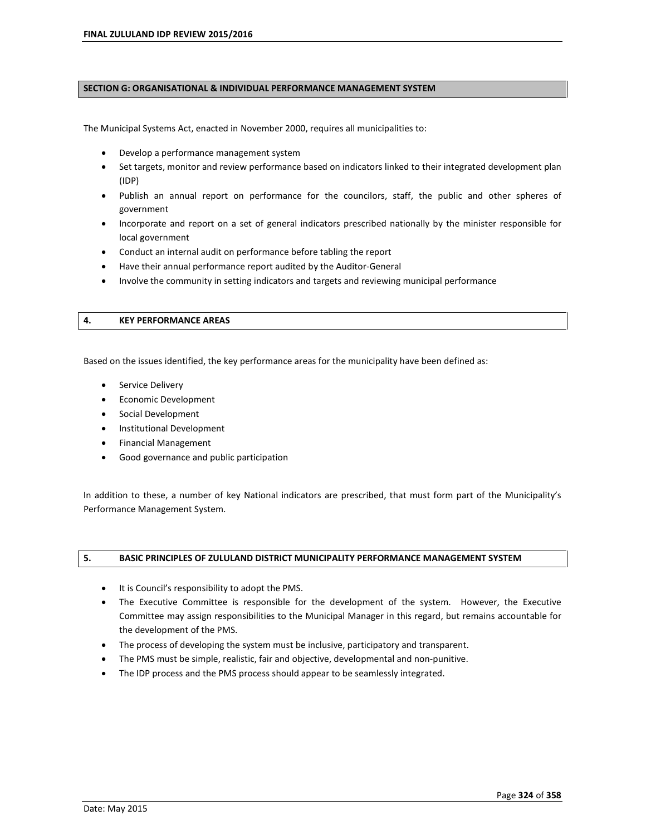#### **SECTION G: ORGANISATIONAL & INDIVIDUAL PERFORMANCE MANAGEMENT SYSTEM**

The Municipal Systems Act, enacted in November 2000, requires all municipalities to:

- Develop a performance management system
- Set targets, monitor and review performance based on indicators linked to their integrated development plan (IDP)
- Publish an annual report on performance for the councilors, staff, the public and other spheres of government
- Incorporate and report on a set of general indicators prescribed nationally by the minister responsible for local government
- Conduct an internal audit on performance before tabling the report
- Have their annual performance report audited by the Auditor-General
- Involve the community in setting indicators and targets and reviewing municipal performance

#### **4. KEY PERFORMANCE AREAS**

Based on the issues identified, the key performance areas for the municipality have been defined as:

- **•** Service Delivery
- Economic Development
- Social Development
- Institutional Development
- Financial Management
- Good governance and public participation

In addition to these, a number of key National indicators are prescribed, that must form part of the Municipalityís Performance Management System.

#### **5. BASIC PRINCIPLES OF ZULULAND DISTRICT MUNICIPALITY PERFORMANCE MANAGEMENT SYSTEM**

- It is Council's responsibility to adopt the PMS.
- The Executive Committee is responsible for the development of the system. However, the Executive Committee may assign responsibilities to the Municipal Manager in this regard, but remains accountable for the development of the PMS.
- The process of developing the system must be inclusive, participatory and transparent.
- The PMS must be simple, realistic, fair and objective, developmental and non-punitive.
- The IDP process and the PMS process should appear to be seamlessly integrated.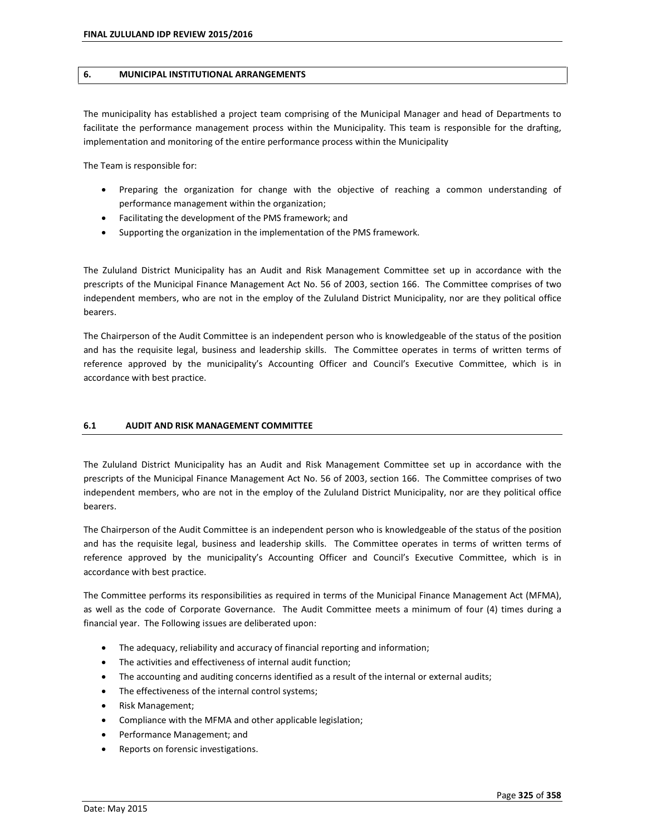#### **6. MUNICIPAL INSTITUTIONAL ARRANGEMENTS**

The municipality has established a project team comprising of the Municipal Manager and head of Departments to facilitate the performance management process within the Municipality. This team is responsible for the drafting, implementation and monitoring of the entire performance process within the Municipality

The Team is responsible for:

- Preparing the organization for change with the objective of reaching a common understanding of performance management within the organization;
- Facilitating the development of the PMS framework; and
- Supporting the organization in the implementation of the PMS framework.

The Zululand District Municipality has an Audit and Risk Management Committee set up in accordance with the prescripts of the Municipal Finance Management Act No. 56 of 2003, section 166. The Committee comprises of two independent members, who are not in the employ of the Zululand District Municipality, nor are they political office bearers.

The Chairperson of the Audit Committee is an independent person who is knowledgeable of the status of the position and has the requisite legal, business and leadership skills. The Committee operates in terms of written terms of reference approved by the municipality's Accounting Officer and Council's Executive Committee, which is in accordance with best practice.

#### **6.1 AUDIT AND RISK MANAGEMENT COMMITTEE**

The Zululand District Municipality has an Audit and Risk Management Committee set up in accordance with the prescripts of the Municipal Finance Management Act No. 56 of 2003, section 166. The Committee comprises of two independent members, who are not in the employ of the Zululand District Municipality, nor are they political office bearers.

The Chairperson of the Audit Committee is an independent person who is knowledgeable of the status of the position and has the requisite legal, business and leadership skills. The Committee operates in terms of written terms of reference approved by the municipalityís Accounting Officer and Councilís Executive Committee, which is in accordance with best practice.

The Committee performs its responsibilities as required in terms of the Municipal Finance Management Act (MFMA), as well as the code of Corporate Governance. The Audit Committee meets a minimum of four (4) times during a financial year. The Following issues are deliberated upon:

- The adequacy, reliability and accuracy of financial reporting and information;
- The activities and effectiveness of internal audit function;
- The accounting and auditing concerns identified as a result of the internal or external audits;
- The effectiveness of the internal control systems;
- Risk Management;
- Compliance with the MFMA and other applicable legislation;
- Performance Management; and
- Reports on forensic investigations.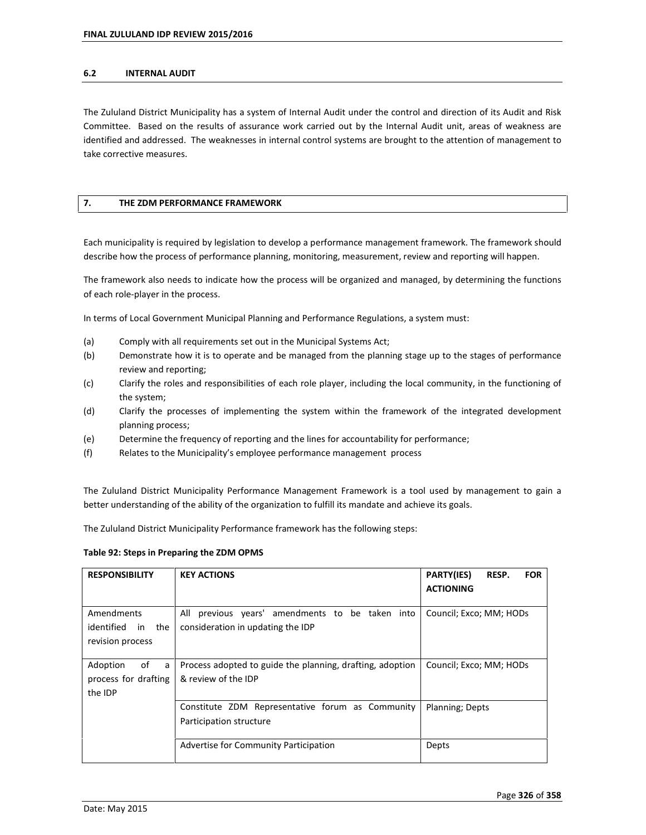#### **6.2 INTERNAL AUDIT**

The Zululand District Municipality has a system of Internal Audit under the control and direction of its Audit and Risk Committee. Based on the results of assurance work carried out by the Internal Audit unit, areas of weakness are identified and addressed. The weaknesses in internal control systems are brought to the attention of management to take corrective measures.

#### **7. THE ZDM PERFORMANCE FRAMEWORK**

Each municipality is required by legislation to develop a performance management framework. The framework should describe how the process of performance planning, monitoring, measurement, review and reporting will happen.

The framework also needs to indicate how the process will be organized and managed, by determining the functions of each role-player in the process.

In terms of Local Government Municipal Planning and Performance Regulations, a system must:

- (a) Comply with all requirements set out in the Municipal Systems Act;
- (b) Demonstrate how it is to operate and be managed from the planning stage up to the stages of performance review and reporting;
- (c) Clarify the roles and responsibilities of each role player, including the local community, in the functioning of the system;
- (d) Clarify the processes of implementing the system within the framework of the integrated development planning process;
- (e) Determine the frequency of reporting and the lines for accountability for performance;
- (f) Relates to the Municipalityís employee performance management process

The Zululand District Municipality Performance Management Framework is a tool used by management to gain a better understanding of the ability of the organization to fulfill its mandate and achieve its goals.

The Zululand District Municipality Performance framework has the following steps:

#### **Table 92: Steps in Preparing the ZDM OPMS**

| <b>RESPONSIBILITY</b>                                  | <b>KEY ACTIONS</b>                                                                      | <b>PARTY(IES)</b><br>RESP.<br><b>FOR</b><br><b>ACTIONING</b> |
|--------------------------------------------------------|-----------------------------------------------------------------------------------------|--------------------------------------------------------------|
| Amendments<br>identified in the<br>revision process    | previous years' amendments to be taken into<br>All<br>consideration in updating the IDP | Council; Exco; MM; HODs                                      |
| Adoption<br>of<br>a<br>process for drafting<br>the IDP | Process adopted to guide the planning, drafting, adoption<br>& review of the IDP        | Council; Exco; MM; HODs                                      |
|                                                        | Constitute ZDM Representative forum as Community<br>Participation structure             | Planning; Depts                                              |
|                                                        | Advertise for Community Participation                                                   | Depts                                                        |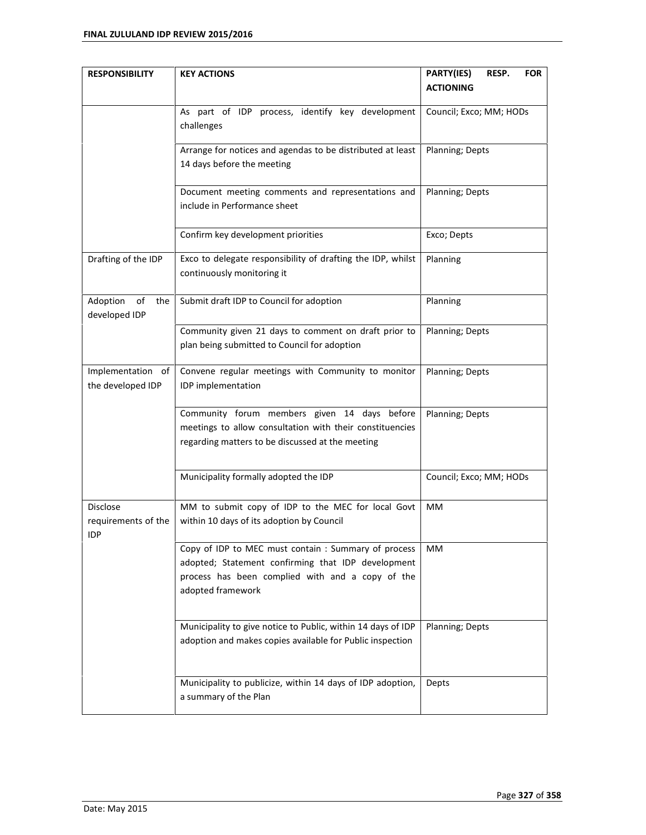| <b>RESPONSIBILITY</b> | <b>KEY ACTIONS</b>                                           | PARTY(IES)<br>RESP.<br><b>FOR</b> |
|-----------------------|--------------------------------------------------------------|-----------------------------------|
|                       |                                                              | <b>ACTIONING</b>                  |
|                       | As part of IDP process, identify key development             | Council; Exco; MM; HODs           |
|                       | challenges                                                   |                                   |
|                       | Arrange for notices and agendas to be distributed at least   | Planning; Depts                   |
|                       | 14 days before the meeting                                   |                                   |
|                       | Document meeting comments and representations and            | Planning; Depts                   |
|                       | include in Performance sheet                                 |                                   |
|                       | Confirm key development priorities                           | Exco; Depts                       |
| Drafting of the IDP   | Exco to delegate responsibility of drafting the IDP, whilst  | Planning                          |
|                       | continuously monitoring it                                   |                                   |
| Adoption<br>of<br>the | Submit draft IDP to Council for adoption                     | Planning                          |
| developed IDP         |                                                              |                                   |
|                       | Community given 21 days to comment on draft prior to         | Planning; Depts                   |
|                       | plan being submitted to Council for adoption                 |                                   |
| Implementation of     | Convene regular meetings with Community to monitor           | Planning; Depts                   |
| the developed IDP     | IDP implementation                                           |                                   |
|                       | Community forum members given 14 days before                 | Planning; Depts                   |
|                       | meetings to allow consultation with their constituencies     |                                   |
|                       | regarding matters to be discussed at the meeting             |                                   |
|                       | Municipality formally adopted the IDP                        | Council; Exco; MM; HODs           |
| Disclose              | MM to submit copy of IDP to the MEC for local Govt           | MM                                |
| requirements of the   | within 10 days of its adoption by Council                    |                                   |
| IDP                   |                                                              |                                   |
|                       | Copy of IDP to MEC must contain : Summary of process         | MМ                                |
|                       | adopted; Statement confirming that IDP development           |                                   |
|                       | process has been complied with and a copy of the             |                                   |
|                       | adopted framework                                            |                                   |
|                       | Municipality to give notice to Public, within 14 days of IDP | Planning; Depts                   |
|                       | adoption and makes copies available for Public inspection    |                                   |
|                       |                                                              |                                   |
|                       | Municipality to publicize, within 14 days of IDP adoption,   | Depts                             |
|                       | a summary of the Plan                                        |                                   |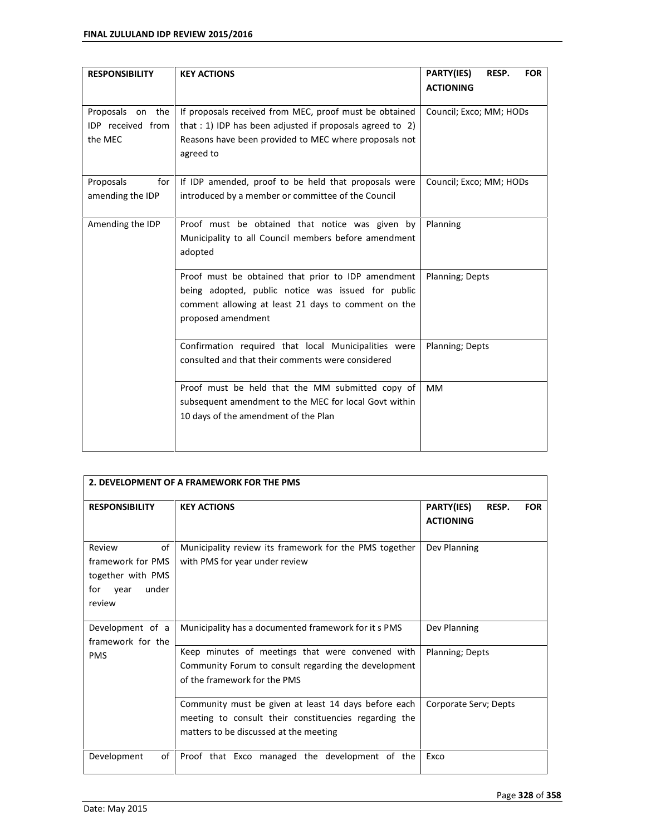| <b>RESPONSIBILITY</b>                            | <b>KEY ACTIONS</b>                                                                                                                                                                        | PARTY(IES)<br>RESP.<br><b>FOR</b><br><b>ACTIONING</b> |
|--------------------------------------------------|-------------------------------------------------------------------------------------------------------------------------------------------------------------------------------------------|-------------------------------------------------------|
| Proposals on the<br>IDP received from<br>the MEC | If proposals received from MEC, proof must be obtained<br>that : 1) IDP has been adjusted if proposals agreed to 2)<br>Reasons have been provided to MEC where proposals not<br>agreed to | Council; Exco; MM; HODs                               |
| Proposals<br>for<br>amending the IDP             | If IDP amended, proof to be held that proposals were<br>introduced by a member or committee of the Council                                                                                | Council; Exco; MM; HODs                               |
| Amending the IDP                                 | Proof must be obtained that notice was given by<br>Municipality to all Council members before amendment<br>adopted                                                                        | Planning                                              |
|                                                  | Proof must be obtained that prior to IDP amendment<br>being adopted, public notice was issued for public<br>comment allowing at least 21 days to comment on the<br>proposed amendment     | Planning; Depts                                       |
|                                                  | Confirmation required that local Municipalities were<br>consulted and that their comments were considered                                                                                 | Planning; Depts                                       |
|                                                  | Proof must be held that the MM submitted copy of<br>subsequent amendment to the MEC for local Govt within<br>10 days of the amendment of the Plan                                         | <b>MM</b>                                             |

| 2. DEVELOPMENT OF A FRAMEWORK FOR THE PMS                                                |                                                                                                                                                         |                                                       |
|------------------------------------------------------------------------------------------|---------------------------------------------------------------------------------------------------------------------------------------------------------|-------------------------------------------------------|
| <b>RESPONSIBILITY</b>                                                                    | <b>KEY ACTIONS</b>                                                                                                                                      | PARTY(IES)<br>RESP.<br><b>FOR</b><br><b>ACTIONING</b> |
| Review<br>of<br>framework for PMS<br>together with PMS<br>under<br>for<br>year<br>review | Municipality review its framework for the PMS together<br>with PMS for year under review                                                                | Dev Planning                                          |
| Development of a<br>framework for the                                                    | Municipality has a documented framework for it s PMS                                                                                                    | Dev Planning                                          |
| <b>PMS</b>                                                                               | Keep minutes of meetings that were convened with<br>Community Forum to consult regarding the development<br>of the framework for the PMS                | Planning; Depts                                       |
|                                                                                          | Community must be given at least 14 days before each<br>meeting to consult their constituencies regarding the<br>matters to be discussed at the meeting | Corporate Serv; Depts                                 |
| Development<br>of                                                                        | Proof that Exco managed the development of the                                                                                                          | Exco                                                  |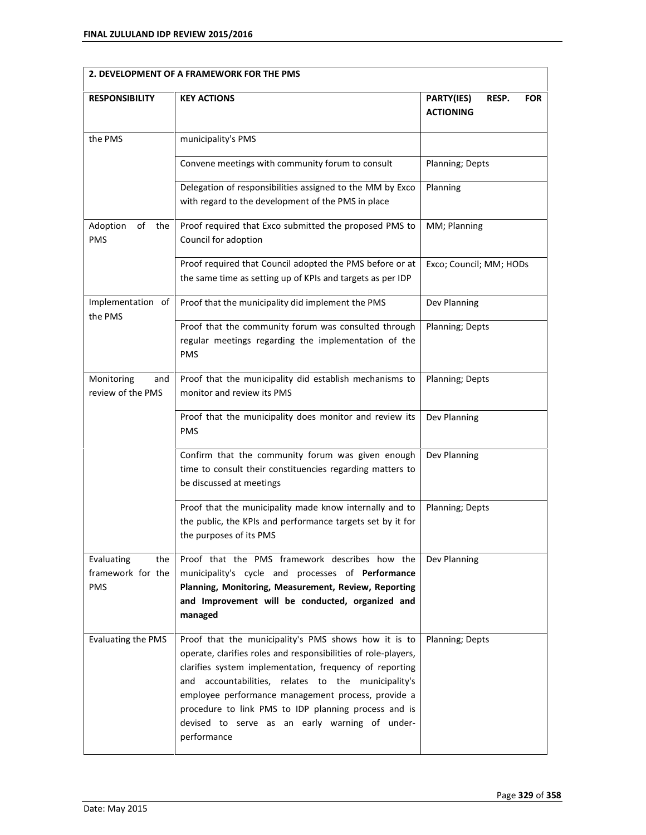|                                                      | 2. DEVELOPMENT OF A FRAMEWORK FOR THE PMS                                                                                                                                                                                                                                                                                                                                                                                  |                                                       |  |
|------------------------------------------------------|----------------------------------------------------------------------------------------------------------------------------------------------------------------------------------------------------------------------------------------------------------------------------------------------------------------------------------------------------------------------------------------------------------------------------|-------------------------------------------------------|--|
| <b>RESPONSIBILITY</b>                                | <b>KEY ACTIONS</b>                                                                                                                                                                                                                                                                                                                                                                                                         | PARTY(IES)<br>RESP.<br><b>FOR</b><br><b>ACTIONING</b> |  |
| the PMS                                              | municipality's PMS                                                                                                                                                                                                                                                                                                                                                                                                         |                                                       |  |
|                                                      | Convene meetings with community forum to consult                                                                                                                                                                                                                                                                                                                                                                           | Planning; Depts                                       |  |
|                                                      | Delegation of responsibilities assigned to the MM by Exco<br>with regard to the development of the PMS in place                                                                                                                                                                                                                                                                                                            | Planning                                              |  |
| Adoption<br>of<br>the<br><b>PMS</b>                  | Proof required that Exco submitted the proposed PMS to<br>Council for adoption                                                                                                                                                                                                                                                                                                                                             | MM; Planning                                          |  |
|                                                      | Proof required that Council adopted the PMS before or at<br>the same time as setting up of KPIs and targets as per IDP                                                                                                                                                                                                                                                                                                     | Exco; Council; MM; HODs                               |  |
| Implementation of<br>the PMS                         | Proof that the municipality did implement the PMS                                                                                                                                                                                                                                                                                                                                                                          | Dev Planning                                          |  |
|                                                      | Proof that the community forum was consulted through<br>regular meetings regarding the implementation of the<br><b>PMS</b>                                                                                                                                                                                                                                                                                                 | Planning; Depts                                       |  |
| Monitoring<br>and<br>review of the PMS               | Proof that the municipality did establish mechanisms to<br>monitor and review its PMS                                                                                                                                                                                                                                                                                                                                      | Planning; Depts                                       |  |
|                                                      | Proof that the municipality does monitor and review its<br><b>PMS</b>                                                                                                                                                                                                                                                                                                                                                      | Dev Planning                                          |  |
|                                                      | Confirm that the community forum was given enough<br>time to consult their constituencies regarding matters to<br>be discussed at meetings                                                                                                                                                                                                                                                                                 | Dev Planning                                          |  |
|                                                      | Proof that the municipality made know internally and to<br>the public, the KPIs and performance targets set by it for<br>the purposes of its PMS                                                                                                                                                                                                                                                                           | Planning; Depts                                       |  |
| Evaluating<br>the<br>framework for the<br><b>PMS</b> | Proof that the PMS framework describes how the<br>municipality's cycle and processes of Performance<br>Planning, Monitoring, Measurement, Review, Reporting<br>and Improvement will be conducted, organized and<br>managed                                                                                                                                                                                                 | Dev Planning                                          |  |
| Evaluating the PMS                                   | Proof that the municipality's PMS shows how it is to<br>operate, clarifies roles and responsibilities of role-players,<br>clarifies system implementation, frequency of reporting<br>accountabilities, relates to the municipality's<br>and<br>employee performance management process, provide a<br>procedure to link PMS to IDP planning process and is<br>devised to serve as an early warning of under-<br>performance | <b>Planning; Depts</b>                                |  |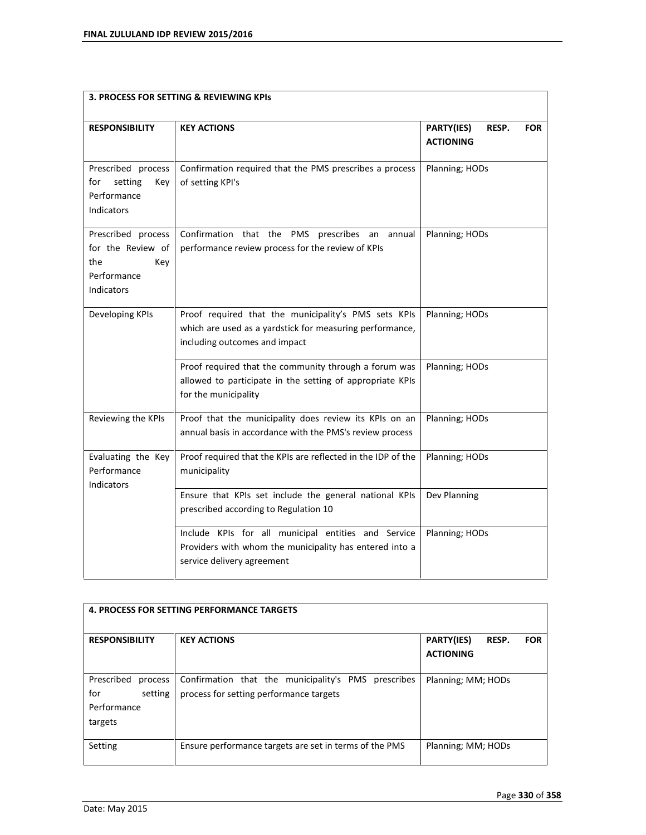| 3. PROCESS FOR SETTING & REVIEWING KPIS                                            |                                                                                                                                                   |                                                       |
|------------------------------------------------------------------------------------|---------------------------------------------------------------------------------------------------------------------------------------------------|-------------------------------------------------------|
| <b>RESPONSIBILITY</b>                                                              | <b>KEY ACTIONS</b>                                                                                                                                | PARTY(IES)<br>RESP.<br><b>FOR</b><br><b>ACTIONING</b> |
| Prescribed process<br>for<br>setting<br>Key<br>Performance<br>Indicators           | Confirmation required that the PMS prescribes a process<br>of setting KPI's                                                                       | Planning; HODs                                        |
| Prescribed process<br>for the Review of<br>the<br>Key<br>Performance<br>Indicators | Confirmation that the PMS prescribes an annual<br>performance review process for the review of KPIs                                               | Planning; HODs                                        |
| Developing KPIs                                                                    | Proof required that the municipality's PMS sets KPIs<br>which are used as a yardstick for measuring performance,<br>including outcomes and impact | Planning; HODs                                        |
|                                                                                    | Proof required that the community through a forum was<br>allowed to participate in the setting of appropriate KPIs<br>for the municipality        | Planning; HODs                                        |
| Reviewing the KPIs                                                                 | Proof that the municipality does review its KPIs on an<br>annual basis in accordance with the PMS's review process                                | Planning; HODs                                        |
| Evaluating the Key<br>Performance<br>Indicators                                    | Proof required that the KPIs are reflected in the IDP of the<br>municipality                                                                      | Planning; HODs                                        |
|                                                                                    | Ensure that KPIs set include the general national KPIs<br>prescribed according to Regulation 10                                                   | Dev Planning                                          |
|                                                                                    | Include KPIs for all municipal entities and Service<br>Providers with whom the municipality has entered into a<br>service delivery agreement      | Planning; HODs                                        |

| <b>4. PROCESS FOR SETTING PERFORMANCE TARGETS</b>                 |                                                                                                |                                                              |  |
|-------------------------------------------------------------------|------------------------------------------------------------------------------------------------|--------------------------------------------------------------|--|
| <b>RESPONSIBILITY</b>                                             | <b>KEY ACTIONS</b>                                                                             | <b>PARTY(IES)</b><br>RESP.<br><b>FOR</b><br><b>ACTIONING</b> |  |
| Prescribed<br>process<br>for<br>setting<br>Performance<br>targets | Confirmation that the municipality's PMS prescribes<br>process for setting performance targets | Planning; MM; HODs                                           |  |
| Setting                                                           | Ensure performance targets are set in terms of the PMS                                         | Planning; MM; HODs                                           |  |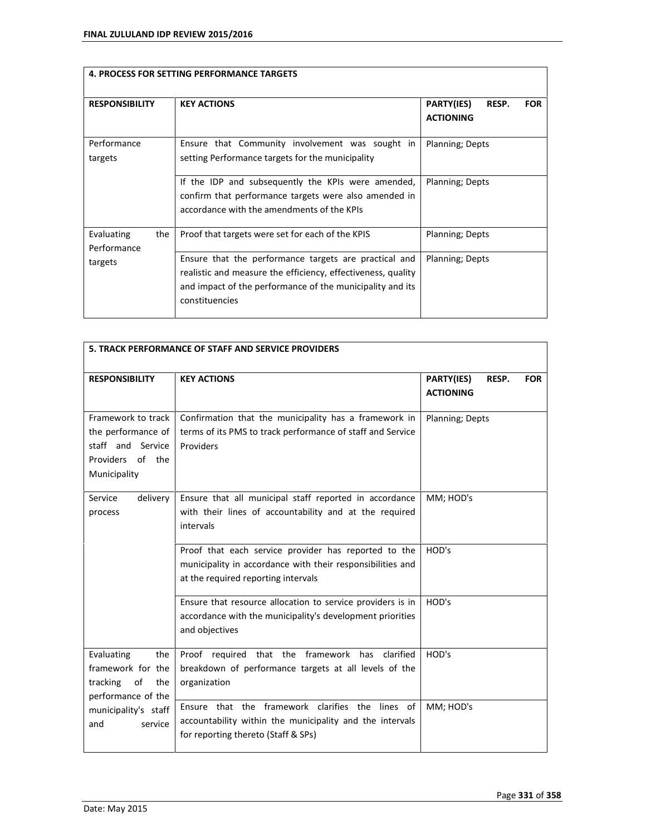|                                  | <b>4. PROCESS FOR SETTING PERFORMANCE TARGETS</b>                                                                                                                                                    |                                                       |
|----------------------------------|------------------------------------------------------------------------------------------------------------------------------------------------------------------------------------------------------|-------------------------------------------------------|
| <b>RESPONSIBILITY</b>            | <b>KEY ACTIONS</b>                                                                                                                                                                                   | PARTY(IES)<br><b>FOR</b><br>RESP.<br><b>ACTIONING</b> |
| Performance<br>targets           | Ensure that Community involvement was sought in<br>setting Performance targets for the municipality                                                                                                  | Planning; Depts                                       |
|                                  | If the IDP and subsequently the KPIs were amended,<br>confirm that performance targets were also amended in<br>accordance with the amendments of the KPIs                                            | Planning; Depts                                       |
| Evaluating<br>the<br>Performance | Proof that targets were set for each of the KPIS                                                                                                                                                     | Planning; Depts                                       |
| targets                          | Ensure that the performance targets are practical and<br>realistic and measure the efficiency, effectiveness, quality<br>and impact of the performance of the municipality and its<br>constituencies | Planning; Depts                                       |

| 5. TRACK PERFORMANCE OF STAFF AND SERVICE PROVIDERS                                               |                                                                                                                                                           |                                                       |
|---------------------------------------------------------------------------------------------------|-----------------------------------------------------------------------------------------------------------------------------------------------------------|-------------------------------------------------------|
| <b>RESPONSIBILITY</b>                                                                             | <b>KEY ACTIONS</b>                                                                                                                                        | PARTY(IES)<br>RESP.<br><b>FOR</b><br><b>ACTIONING</b> |
| Framework to track<br>the performance of<br>staff and Service<br>Providers of the<br>Municipality | Confirmation that the municipality has a framework in<br>terms of its PMS to track performance of staff and Service<br>Providers                          | Planning; Depts                                       |
| Service<br>delivery<br>process                                                                    | Ensure that all municipal staff reported in accordance<br>with their lines of accountability and at the required<br>intervals                             | MM; HOD's                                             |
|                                                                                                   | Proof that each service provider has reported to the<br>municipality in accordance with their responsibilities and<br>at the required reporting intervals | HOD's                                                 |
|                                                                                                   | Ensure that resource allocation to service providers is in<br>accordance with the municipality's development priorities<br>and objectives                 | HOD's                                                 |
| Evaluating<br>the<br>framework for the<br>tracking<br>of<br>the<br>performance of the             | Proof required that the framework<br>has<br>clarified<br>breakdown of performance targets at all levels of the<br>organization                            | HOD's                                                 |
| municipality's staff<br>and<br>service                                                            | Ensure that the framework clarifies the lines of<br>accountability within the municipality and the intervals<br>for reporting thereto (Staff & SPs)       | MM; HOD's                                             |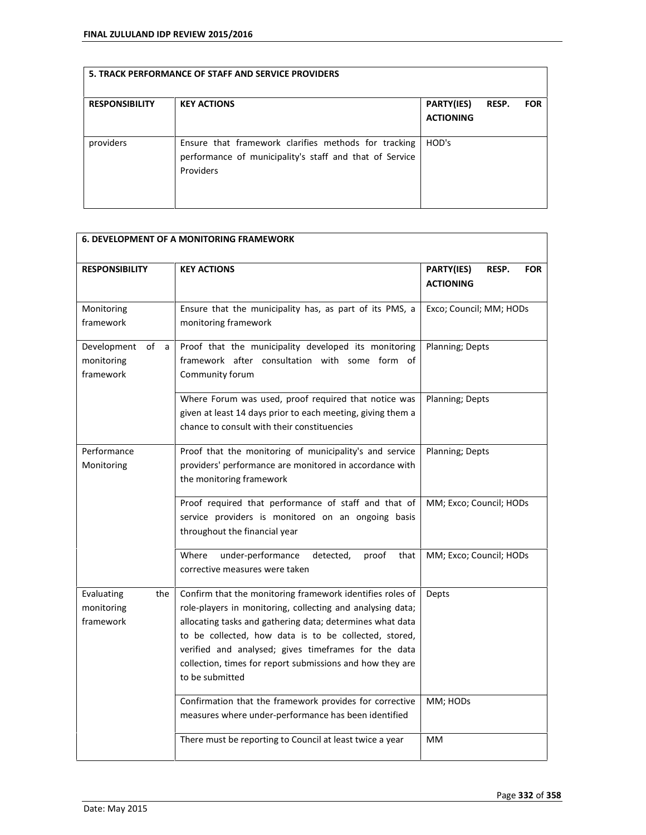| <b>RESPONSIBILITY</b> | <b>KEY ACTIONS</b>                                                                                                           | PARTY(IES)<br><b>ACTIONING</b> | RESP. | <b>FOR</b> |
|-----------------------|------------------------------------------------------------------------------------------------------------------------------|--------------------------------|-------|------------|
| providers             | Ensure that framework clarifies methods for tracking<br>performance of municipality's staff and that of Service<br>Providers | HOD's                          |       |            |

| <b>6. DEVELOPMENT OF A MONITORING FRAMEWORK</b>   |                                                                                                                                                                                                                                                                                                                                                                                       |                                                       |  |
|---------------------------------------------------|---------------------------------------------------------------------------------------------------------------------------------------------------------------------------------------------------------------------------------------------------------------------------------------------------------------------------------------------------------------------------------------|-------------------------------------------------------|--|
| <b>RESPONSIBILITY</b>                             | <b>KEY ACTIONS</b>                                                                                                                                                                                                                                                                                                                                                                    | PARTY(IES)<br>RESP.<br><b>FOR</b><br><b>ACTIONING</b> |  |
| Monitoring<br>framework                           | Ensure that the municipality has, as part of its PMS, a<br>monitoring framework                                                                                                                                                                                                                                                                                                       | Exco; Council; MM; HODs                               |  |
| Development<br>of<br>a<br>monitoring<br>framework | Proof that the municipality developed its monitoring<br>framework after consultation with some form of<br>Community forum                                                                                                                                                                                                                                                             | Planning; Depts                                       |  |
|                                                   | Where Forum was used, proof required that notice was<br>given at least 14 days prior to each meeting, giving them a<br>chance to consult with their constituencies                                                                                                                                                                                                                    | Planning; Depts                                       |  |
| Performance<br>Monitoring                         | Proof that the monitoring of municipality's and service<br>providers' performance are monitored in accordance with<br>the monitoring framework                                                                                                                                                                                                                                        | Planning; Depts                                       |  |
|                                                   | Proof required that performance of staff and that of<br>service providers is monitored on an ongoing basis<br>throughout the financial year                                                                                                                                                                                                                                           | MM; Exco; Council; HODs                               |  |
|                                                   | under-performance<br>Where<br>detected,<br>proof<br>that<br>corrective measures were taken                                                                                                                                                                                                                                                                                            | MM; Exco; Council; HODs                               |  |
| Evaluating<br>the<br>monitoring<br>framework      | Confirm that the monitoring framework identifies roles of<br>role-players in monitoring, collecting and analysing data;<br>allocating tasks and gathering data; determines what data<br>to be collected, how data is to be collected, stored,<br>verified and analysed; gives timeframes for the data<br>collection, times for report submissions and how they are<br>to be submitted | Depts                                                 |  |
|                                                   | Confirmation that the framework provides for corrective<br>measures where under-performance has been identified                                                                                                                                                                                                                                                                       | MM; HODs                                              |  |
|                                                   | There must be reporting to Council at least twice a year                                                                                                                                                                                                                                                                                                                              | MM                                                    |  |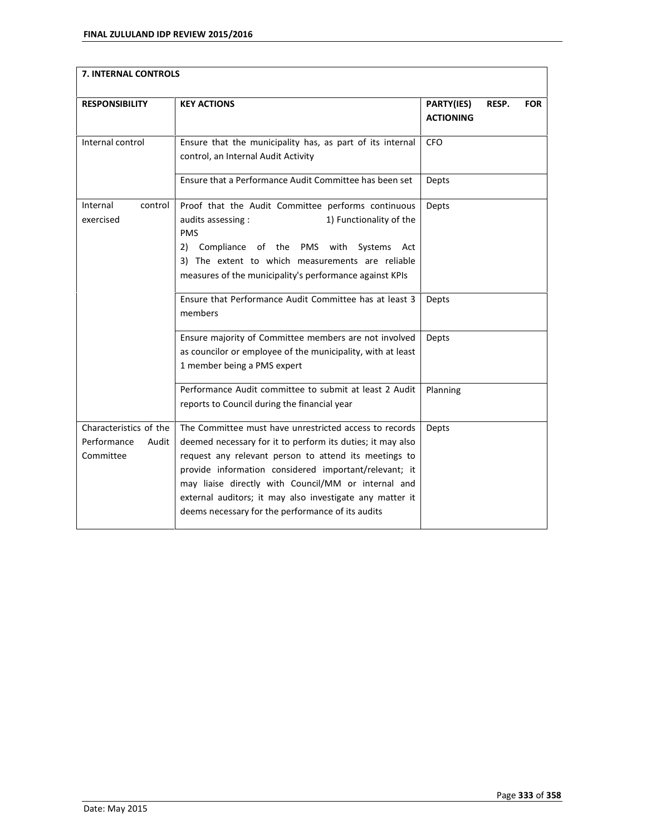| 7. INTERNAL CONTROLS                                        |                                                                                                                                                                                                                                                                                                                                                                                                                |                                                       |
|-------------------------------------------------------------|----------------------------------------------------------------------------------------------------------------------------------------------------------------------------------------------------------------------------------------------------------------------------------------------------------------------------------------------------------------------------------------------------------------|-------------------------------------------------------|
| <b>RESPONSIBILITY</b>                                       | <b>KEY ACTIONS</b>                                                                                                                                                                                                                                                                                                                                                                                             | PARTY(IES)<br>RESP.<br><b>FOR</b><br><b>ACTIONING</b> |
| Internal control                                            | Ensure that the municipality has, as part of its internal<br>control, an Internal Audit Activity                                                                                                                                                                                                                                                                                                               | CFO                                                   |
|                                                             | Ensure that a Performance Audit Committee has been set                                                                                                                                                                                                                                                                                                                                                         | Depts                                                 |
| Internal<br>control<br>exercised                            | Proof that the Audit Committee performs continuous<br>1) Functionality of the<br>audits assessing :<br><b>PMS</b><br>Compliance of the PMS with<br>2)<br>Systems<br>Act<br>3) The extent to which measurements are reliable<br>measures of the municipality's performance against KPIs                                                                                                                         | Depts                                                 |
|                                                             | Ensure that Performance Audit Committee has at least 3<br>members                                                                                                                                                                                                                                                                                                                                              | Depts                                                 |
|                                                             | Ensure majority of Committee members are not involved<br>as councilor or employee of the municipality, with at least<br>1 member being a PMS expert                                                                                                                                                                                                                                                            | Depts                                                 |
|                                                             | Performance Audit committee to submit at least 2 Audit<br>reports to Council during the financial year                                                                                                                                                                                                                                                                                                         | Planning                                              |
| Characteristics of the<br>Performance<br>Audit<br>Committee | The Committee must have unrestricted access to records<br>deemed necessary for it to perform its duties; it may also<br>request any relevant person to attend its meetings to<br>provide information considered important/relevant; it<br>may liaise directly with Council/MM or internal and<br>external auditors; it may also investigate any matter it<br>deems necessary for the performance of its audits | Depts                                                 |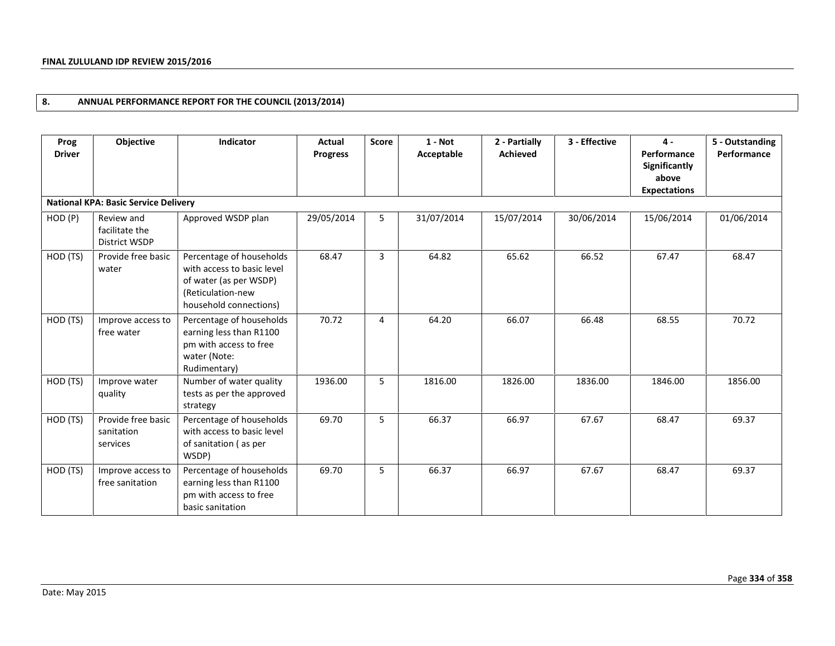# **8. ANNUAL PERFORMANCE REPORT FOR THE COUNCIL (2013/2014)**

| Prog<br><b>Driver</b> | Objective                                     | Indicator                                                                                                                       | Actual<br><b>Progress</b> | <b>Score</b> | $1 - Not$<br>Acceptable | 3 - Effective<br>2 - Partially<br><b>Achieved</b> |            | $4 -$<br>Performance<br>Significantly<br>above<br><b>Expectations</b> | 5 - Outstanding<br>Performance |
|-----------------------|-----------------------------------------------|---------------------------------------------------------------------------------------------------------------------------------|---------------------------|--------------|-------------------------|---------------------------------------------------|------------|-----------------------------------------------------------------------|--------------------------------|
|                       | <b>National KPA: Basic Service Delivery</b>   |                                                                                                                                 |                           |              |                         |                                                   |            |                                                                       |                                |
| HOD (P)               | Review and<br>facilitate the<br>District WSDP | Approved WSDP plan                                                                                                              | 29/05/2014                | 5            | 31/07/2014              | 15/07/2014                                        | 30/06/2014 | 15/06/2014                                                            | 01/06/2014                     |
| HOD (TS)              | Provide free basic<br>water                   | Percentage of households<br>with access to basic level<br>of water (as per WSDP)<br>(Reticulation-new<br>household connections) | 68.47                     | 3            | 64.82                   | 65.62                                             | 66.52      | 67.47                                                                 | 68.47                          |
| HOD (TS)              | Improve access to<br>free water               | Percentage of households<br>earning less than R1100<br>pm with access to free<br>water (Note:<br>Rudimentary)                   | 70.72                     | 4            | 64.20                   | 66.07                                             | 66.48      | 68.55                                                                 | 70.72                          |
| HOD (TS)              | Improve water<br>quality                      | Number of water quality<br>tests as per the approved<br>strategy                                                                | 1936.00                   | 5            | 1816.00                 | 1826.00                                           | 1836.00    | 1846.00                                                               | 1856.00                        |
| HOD (TS)              | Provide free basic<br>sanitation<br>services  | Percentage of households<br>with access to basic level<br>of sanitation (as per<br>WSDP)                                        | 69.70                     | 5            | 66.37                   | 66.97                                             | 67.67      | 68.47                                                                 | 69.37                          |
| HOD (TS)              | Improve access to<br>free sanitation          | Percentage of households<br>earning less than R1100<br>pm with access to free<br>basic sanitation                               | 69.70                     | 5            | 66.37                   | 66.97                                             | 67.67      | 68.47                                                                 | 69.37                          |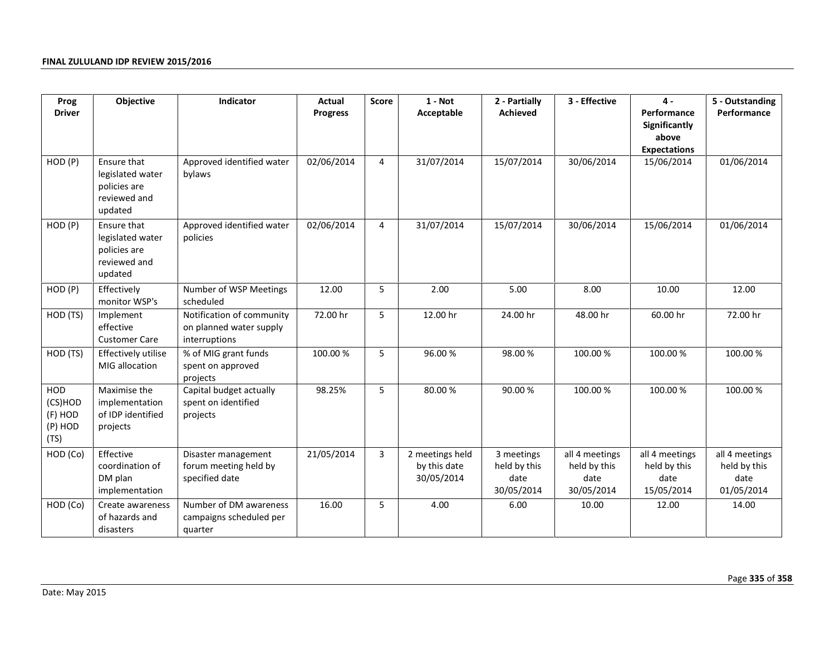| Prog                                                | Objective                                                                  | Indicator                                                             | Actual          | <b>Score</b> | $1 - Not$                                     | 2 - Partially                                    | 3 - Effective                                        | $4 -$                                                        | 5 - Outstanding                                      |
|-----------------------------------------------------|----------------------------------------------------------------------------|-----------------------------------------------------------------------|-----------------|--------------|-----------------------------------------------|--------------------------------------------------|------------------------------------------------------|--------------------------------------------------------------|------------------------------------------------------|
| <b>Driver</b>                                       |                                                                            |                                                                       | <b>Progress</b> |              | Acceptable                                    | Achieved                                         |                                                      | Performance<br>Significantly<br>above<br><b>Expectations</b> | Performance                                          |
| HOD (P)                                             | Ensure that<br>legislated water<br>policies are<br>reviewed and<br>updated | Approved identified water<br>bylaws                                   | 02/06/2014      | 4            | 31/07/2014                                    | 15/07/2014                                       | 30/06/2014                                           | 15/06/2014                                                   | 01/06/2014                                           |
| HOD (P)                                             | Ensure that<br>legislated water<br>policies are<br>reviewed and<br>updated | Approved identified water<br>policies                                 | 02/06/2014      | 4            | 31/07/2014                                    | 15/07/2014                                       | 30/06/2014                                           | 15/06/2014                                                   | 01/06/2014                                           |
| HOD (P)                                             | Effectively<br>monitor WSP's                                               | Number of WSP Meetings<br>scheduled                                   | 12.00           | 5            | 2.00                                          | 5.00                                             | 8.00                                                 | 10.00                                                        | 12.00                                                |
| HOD (TS)                                            | Implement<br>effective<br><b>Customer Care</b>                             | Notification of community<br>on planned water supply<br>interruptions | 72.00 hr        | 5            | 12.00 hr                                      | 24.00 hr                                         | 48.00 hr                                             | 60.00 hr                                                     | 72.00 hr                                             |
| HOD (TS)                                            | Effectively utilise<br>MIG allocation                                      | % of MIG grant funds<br>spent on approved<br>projects                 | 100.00 %        | 5            | 96.00%                                        | 98.00%                                           | 100.00 %                                             | 100.00%                                                      | 100.00%                                              |
| <b>HOD</b><br>(CS)HOD<br>(F) HOD<br>(P) HOD<br>(TS) | Maximise the<br>implementation<br>of IDP identified<br>projects            | Capital budget actually<br>spent on identified<br>projects            | 98.25%          | 5            | 80.00%                                        | 90.00%                                           | 100.00 %                                             | 100.00%                                                      | 100.00%                                              |
| HOD (Co)                                            | Effective<br>coordination of<br>DM plan<br>implementation                  | Disaster management<br>forum meeting held by<br>specified date        | 21/05/2014      | 3            | 2 meetings held<br>by this date<br>30/05/2014 | 3 meetings<br>held by this<br>date<br>30/05/2014 | all 4 meetings<br>held by this<br>date<br>30/05/2014 | all 4 meetings<br>held by this<br>date<br>15/05/2014         | all 4 meetings<br>held by this<br>date<br>01/05/2014 |
| HOD (Co)                                            | Create awareness<br>of hazards and<br>disasters                            | Number of DM awareness<br>campaigns scheduled per<br>quarter          | 16.00           | 5            | 4.00                                          | 6.00                                             | 10.00                                                | 12.00                                                        | 14.00                                                |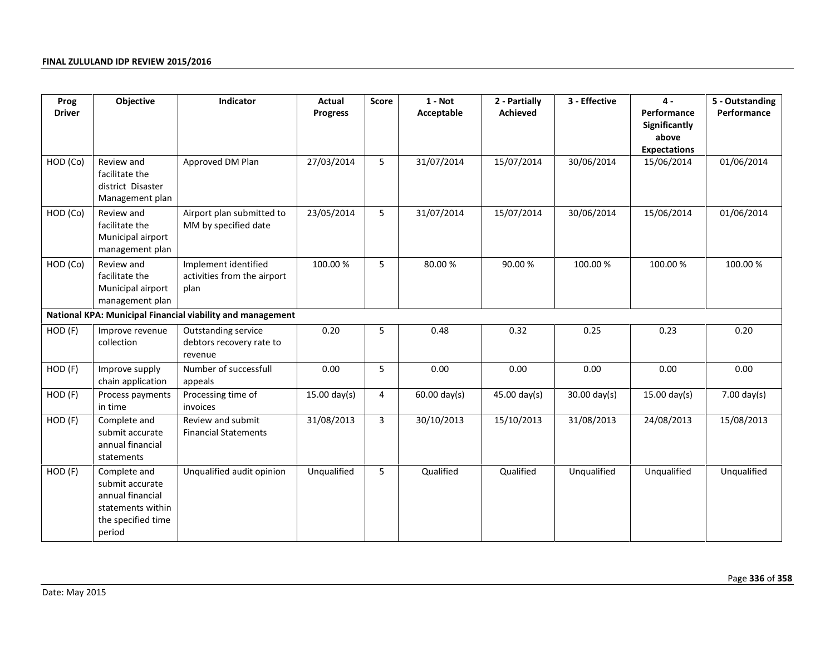| Prog          | Objective<br>Indicator<br>$1 - Not$<br>Actual<br>2 - Partially<br><b>Score</b>                           |                                                             | 3 - Effective   | $4 -$ | 5 - Outstanding |                |                |                                                                     |                       |
|---------------|----------------------------------------------------------------------------------------------------------|-------------------------------------------------------------|-----------------|-------|-----------------|----------------|----------------|---------------------------------------------------------------------|-----------------------|
| <b>Driver</b> |                                                                                                          |                                                             | <b>Progress</b> |       | Acceptable      | Achieved       |                | Performance<br><b>Significantly</b><br>above<br><b>Expectations</b> | Performance           |
| HOD (Co)      | Review and<br>facilitate the<br>district Disaster<br>Management plan                                     | Approved DM Plan                                            | 27/03/2014      | 5     | 31/07/2014      | 15/07/2014     | 30/06/2014     | 15/06/2014                                                          | 01/06/2014            |
| HOD (Co)      | Review and<br>facilitate the<br>Municipal airport<br>management plan                                     | Airport plan submitted to<br>MM by specified date           | 23/05/2014      | 5     | 31/07/2014      | 15/07/2014     | 30/06/2014     | 15/06/2014                                                          | 01/06/2014            |
| HOD (Co)      | Review and<br>facilitate the<br>Municipal airport<br>management plan                                     | Implement identified<br>activities from the airport<br>plan | 100.00 %        | 5     | 80.00%          | 90.00%         | 100.00 %       | 100.00 %                                                            | 100.00 %              |
|               |                                                                                                          | National KPA: Municipal Financial viability and management  |                 |       |                 |                |                |                                                                     |                       |
| HOD (F)       | Improve revenue<br>collection                                                                            | Outstanding service<br>debtors recovery rate to<br>revenue  | 0.20            | 5     | 0.48            | 0.32           | 0.25           | 0.23                                                                | 0.20                  |
| HOD (F)       | Improve supply<br>chain application                                                                      | Number of successfull<br>appeals                            | 0.00            | 5     | 0.00            | 0.00           | 0.00           | 0.00                                                                | 0.00                  |
| HOD (F)       | Process payments<br>in time                                                                              | Processing time of<br>invoices                              | $15.00$ day(s)  | 4     | $60.00$ day(s)  | $45.00$ day(s) | $30.00$ day(s) | $15.00$ day(s)                                                      | $7.00 \text{ day(s)}$ |
| HOD (F)       | Complete and<br>submit accurate<br>annual financial<br>statements                                        | Review and submit<br><b>Financial Statements</b>            | 31/08/2013      | 3     | 30/10/2013      | 15/10/2013     | 31/08/2013     | 24/08/2013                                                          | 15/08/2013            |
| HOD (F)       | Complete and<br>submit accurate<br>annual financial<br>statements within<br>the specified time<br>period | Unqualified audit opinion                                   | Unqualified     | 5     | Qualified       | Qualified      | Unqualified    | Unqualified                                                         | Unqualified           |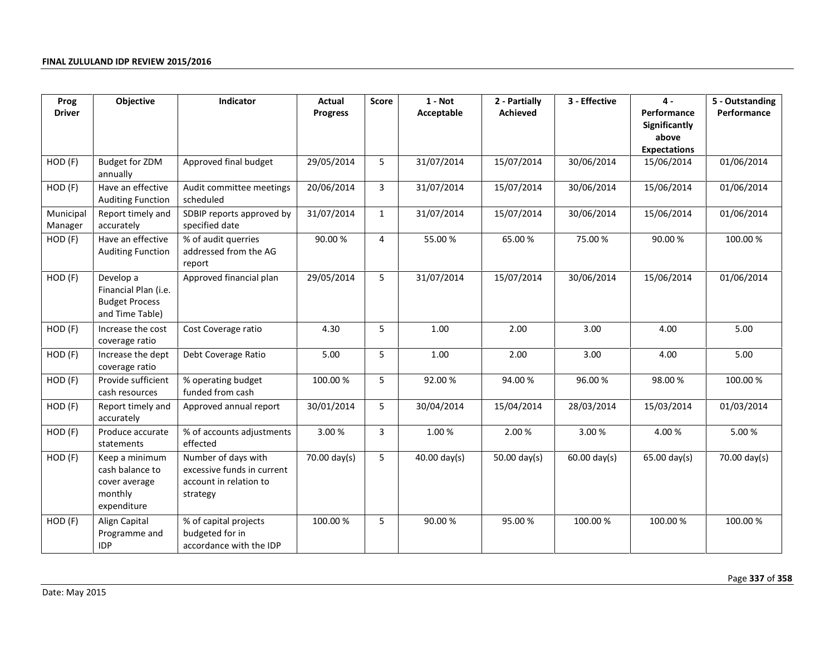| Prog                 | Objective                                                                     | Indicator                                                                               | Actual          | Score        | $1 - Not$      | 2 - Partially | 3 - Effective          | 4 -                                                                 | 5 - Outstanding |
|----------------------|-------------------------------------------------------------------------------|-----------------------------------------------------------------------------------------|-----------------|--------------|----------------|---------------|------------------------|---------------------------------------------------------------------|-----------------|
| <b>Driver</b>        |                                                                               |                                                                                         | <b>Progress</b> |              | Acceptable     | Achieved      |                        | Performance<br><b>Significantly</b><br>above<br><b>Expectations</b> | Performance     |
| HOD (F)              | <b>Budget for ZDM</b><br>annually                                             | Approved final budget                                                                   | 29/05/2014      | 5            | 31/07/2014     | 15/07/2014    | 30/06/2014             | 15/06/2014                                                          | 01/06/2014      |
| HOD (F)              | Have an effective<br><b>Auditing Function</b>                                 | Audit committee meetings<br>scheduled                                                   | 20/06/2014      | 3            | 31/07/2014     | 15/07/2014    | 30/06/2014             | 15/06/2014                                                          | 01/06/2014      |
| Municipal<br>Manager | Report timely and<br>accurately                                               | SDBIP reports approved by<br>specified date                                             | 31/07/2014      | $\mathbf{1}$ | 31/07/2014     | 15/07/2014    | 30/06/2014             | 15/06/2014                                                          | 01/06/2014      |
| HOD (F)              | Have an effective<br><b>Auditing Function</b>                                 | % of audit querries<br>addressed from the AG<br>report                                  | 90.00 %         | 4            | 55.00 %        | 65.00%        | 75.00%                 | 90.00 %                                                             | 100.00%         |
| HOD (F)              | Develop a<br>Financial Plan (i.e.<br><b>Budget Process</b><br>and Time Table) | Approved financial plan                                                                 | 29/05/2014      | 5            | 31/07/2014     | 15/07/2014    | 30/06/2014             | 15/06/2014                                                          | 01/06/2014      |
| HOD (F)              | Increase the cost<br>coverage ratio                                           | Cost Coverage ratio                                                                     | 4.30            | 5            | 1.00           | 2.00          | 3.00                   | 4.00                                                                | 5.00            |
| HOD (F)              | Increase the dept<br>coverage ratio                                           | Debt Coverage Ratio                                                                     | 5.00            | 5            | 1.00           | 2.00          | 3.00                   | 4.00                                                                | 5.00            |
| HOD (F)              | Provide sufficient<br>cash resources                                          | % operating budget<br>funded from cash                                                  | 100.00 %        | 5            | 92.00%         | 94.00%        | 96.00%                 | 98.00 %                                                             | 100.00%         |
| HOD (F)              | Report timely and<br>accurately                                               | Approved annual report                                                                  | 30/01/2014      | 5            | 30/04/2014     | 15/04/2014    | 28/03/2014             | 15/03/2014                                                          | 01/03/2014      |
| HOD (F)              | Produce accurate<br>statements                                                | % of accounts adjustments<br>effected                                                   | 3.00%           | 3            | 1.00%          | 2.00%         | 3.00%                  | 4.00%                                                               | 5.00 %          |
| HOD (F)              | Keep a minimum<br>cash balance to<br>cover average<br>monthly<br>expenditure  | Number of days with<br>excessive funds in current<br>account in relation to<br>strategy | 70.00 day(s)    | 5            | $40.00$ day(s) | 50.00 day(s)  | $60.00 \text{ day(s)}$ | $65.00 \text{ day(s)}$                                              | 70.00 day(s)    |
| $HOD$ $(F)$          | Align Capital<br>Programme and<br><b>IDP</b>                                  | % of capital projects<br>budgeted for in<br>accordance with the IDP                     | 100.00 %        | 5            | 90.00%         | 95.00%        | 100.00 %               | 100.00%                                                             | 100.00%         |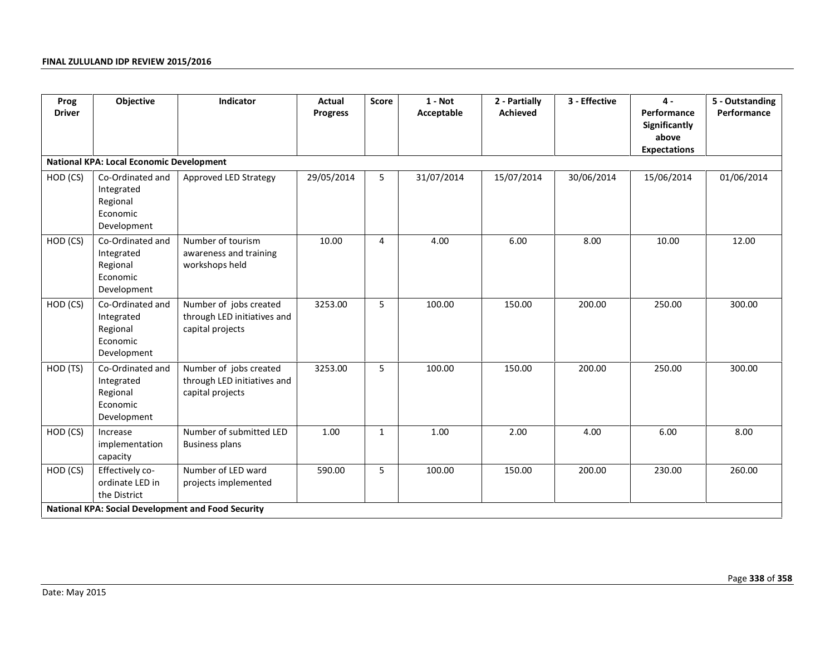| Prog<br><b>Driver</b> | Objective                                                             | Indicator                                                                 | Actual<br><b>Progress</b> | <b>Score</b> | $1 - Not$<br>Acceptable | 2 - Partially<br><b>Achieved</b> | 3 - Effective | $\mathbf 4$ -<br>Performance<br>Significantly<br>above<br><b>Expectations</b> | 5 - Outstanding<br>Performance |
|-----------------------|-----------------------------------------------------------------------|---------------------------------------------------------------------------|---------------------------|--------------|-------------------------|----------------------------------|---------------|-------------------------------------------------------------------------------|--------------------------------|
|                       | <b>National KPA: Local Economic Development</b>                       |                                                                           |                           |              |                         |                                  |               |                                                                               |                                |
| HOD (CS)              | Co-Ordinated and<br>Integrated<br>Regional<br>Economic<br>Development | Approved LED Strategy                                                     | 29/05/2014                | 5            | 31/07/2014              | 15/07/2014                       | 30/06/2014    | 15/06/2014                                                                    | 01/06/2014                     |
| HOD (CS)              | Co-Ordinated and<br>Integrated<br>Regional<br>Economic<br>Development | Number of tourism<br>awareness and training<br>workshops held             | 10.00                     | 4            | 4.00                    | 6.00                             | 8.00          | 10.00                                                                         | 12.00                          |
| HOD (CS)              | Co-Ordinated and<br>Integrated<br>Regional<br>Economic<br>Development | Number of jobs created<br>through LED initiatives and<br>capital projects | 3253.00                   | 5            | 100.00                  | 150.00                           | 200.00        | 250.00                                                                        | 300.00                         |
| HOD (TS)              | Co-Ordinated and<br>Integrated<br>Regional<br>Economic<br>Development | Number of jobs created<br>through LED initiatives and<br>capital projects | 3253.00                   | 5            | 100.00                  | 150.00                           | 200.00        | 250.00                                                                        | 300.00                         |
| HOD (CS)              | Increase<br>implementation<br>capacity                                | Number of submitted LED<br><b>Business plans</b>                          | 1.00                      | $\mathbf{1}$ | 1.00                    | 2.00                             | 4.00          | 6.00                                                                          | 8.00                           |
| HOD (CS)              | Effectively co-<br>ordinate LED in<br>the District                    | Number of LED ward<br>projects implemented                                | 590.00                    | 5            | 100.00                  | 150.00                           | 200.00        | 230.00                                                                        | 260.00                         |
|                       |                                                                       | <b>National KPA: Social Development and Food Security</b>                 |                           |              |                         |                                  |               |                                                                               |                                |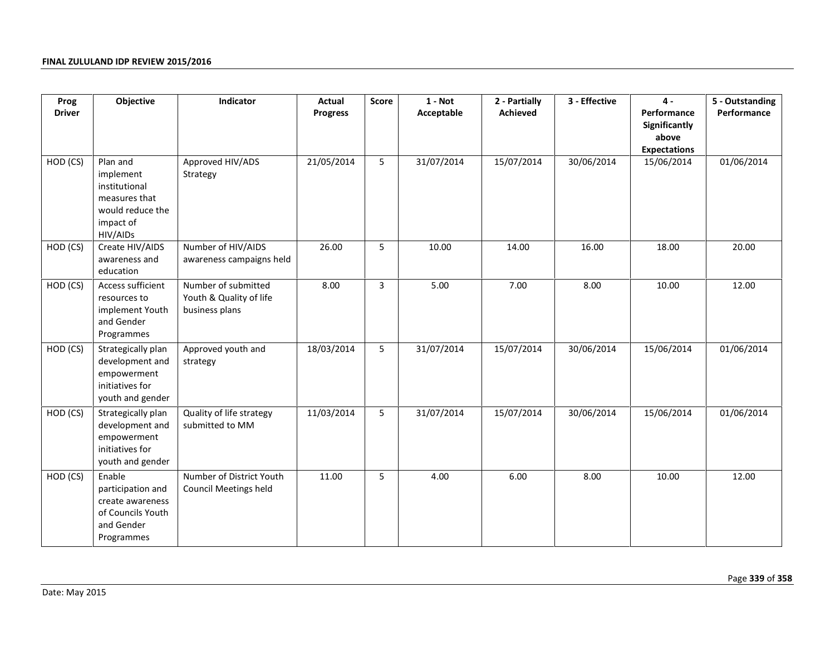| Prog          | Objective                                                                                            | Indicator                                                        |                 | Score | $1 - Not$  | 2 - Partially | 3 - Effective | $4 -$                                                        | 5 - Outstanding |
|---------------|------------------------------------------------------------------------------------------------------|------------------------------------------------------------------|-----------------|-------|------------|---------------|---------------|--------------------------------------------------------------|-----------------|
| <b>Driver</b> |                                                                                                      |                                                                  | <b>Progress</b> |       | Acceptable | Achieved      |               | Performance<br>Significantly<br>above<br><b>Expectations</b> | Performance     |
| HOD (CS)      | Plan and<br>implement<br>institutional<br>measures that<br>would reduce the<br>impact of<br>HIV/AIDs | Approved HIV/ADS<br>Strategy                                     | 21/05/2014      | 5     | 31/07/2014 | 15/07/2014    | 30/06/2014    | 15/06/2014                                                   | 01/06/2014      |
| HOD (CS)      | Create HIV/AIDS<br>awareness and<br>education                                                        | Number of HIV/AIDS<br>awareness campaigns held                   | 26.00           | 5     | 10.00      | 14.00         | 16.00         | 18.00                                                        | 20.00           |
| HOD (CS)      | Access sufficient<br>resources to<br>implement Youth<br>and Gender<br>Programmes                     | Number of submitted<br>Youth & Quality of life<br>business plans | 8.00            | 3     | 5.00       | 7.00          | 8.00          | 10.00                                                        | 12.00           |
| HOD (CS)      | Strategically plan<br>development and<br>empowerment<br>initiatives for<br>youth and gender          | Approved youth and<br>strategy                                   | 18/03/2014      | 5     | 31/07/2014 | 15/07/2014    | 30/06/2014    | 15/06/2014                                                   | 01/06/2014      |
| HOD (CS)      | Strategically plan<br>development and<br>empowerment<br>initiatives for<br>youth and gender          | Quality of life strategy<br>submitted to MM                      | 11/03/2014      | 5     | 31/07/2014 | 15/07/2014    | 30/06/2014    | 15/06/2014                                                   | 01/06/2014      |
| HOD (CS)      | Enable<br>participation and<br>create awareness<br>of Councils Youth<br>and Gender<br>Programmes     | Number of District Youth<br><b>Council Meetings held</b>         | 11.00           | 5     | 4.00       | 6.00          | 8.00          | 10.00                                                        | 12.00           |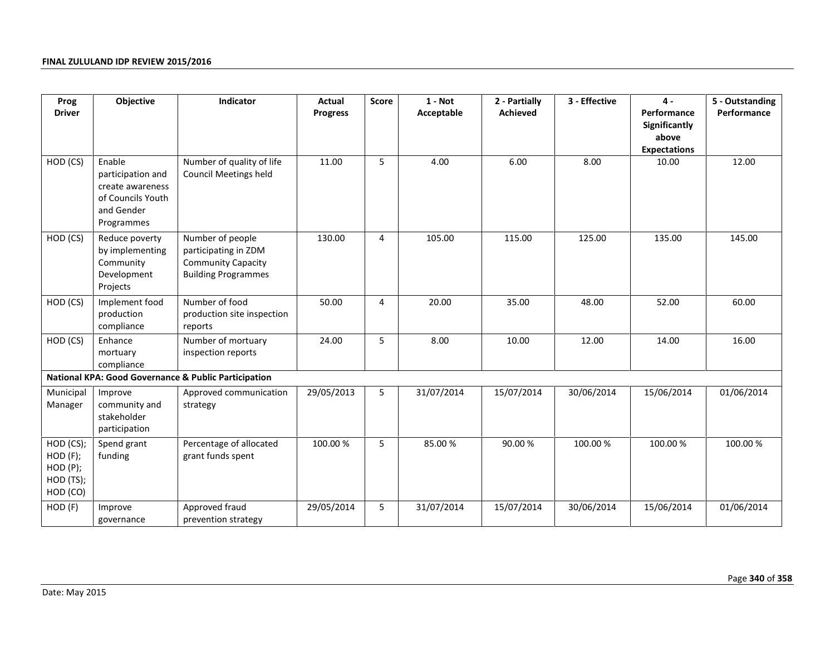| Prog                                                          | Objective                                                                                        | Indicator                                                                                           | Actual          | <b>Score</b> | $1 - Not$  | 2 - Partially | 3 - Effective | $\mathbf{4}$                                                 | 5 - Outstanding |
|---------------------------------------------------------------|--------------------------------------------------------------------------------------------------|-----------------------------------------------------------------------------------------------------|-----------------|--------------|------------|---------------|---------------|--------------------------------------------------------------|-----------------|
| <b>Driver</b>                                                 |                                                                                                  |                                                                                                     | <b>Progress</b> |              | Acceptable | Achieved      |               | Performance<br>Significantly<br>above<br><b>Expectations</b> | Performance     |
| HOD (CS)                                                      | Enable<br>participation and<br>create awareness<br>of Councils Youth<br>and Gender<br>Programmes | Number of quality of life<br><b>Council Meetings held</b>                                           | 11.00           | 5            | 4.00       | 6.00          | 8.00          | 10.00                                                        | 12.00           |
| HOD (CS)                                                      | Reduce poverty<br>by implementing<br>Community<br>Development<br>Projects                        | Number of people<br>participating in ZDM<br><b>Community Capacity</b><br><b>Building Programmes</b> | 130.00          | 4            | 105.00     | 115.00        | 125.00        | 135.00                                                       | 145.00          |
| HOD (CS)                                                      | Implement food<br>production<br>compliance                                                       | Number of food<br>production site inspection<br>reports                                             | 50.00           | 4            | 20.00      | 35.00         | 48.00         | 52.00                                                        | 60.00           |
| HOD (CS)                                                      | Enhance<br>mortuary<br>compliance                                                                | Number of mortuary<br>inspection reports                                                            | 24.00           | 5            | 8.00       | 10.00         | 12.00         | 14.00                                                        | 16.00           |
|                                                               |                                                                                                  | <b>National KPA: Good Governance &amp; Public Participation</b>                                     |                 |              |            |               |               |                                                              |                 |
| Municipal<br>Manager                                          | Improve<br>community and<br>stakeholder<br>participation                                         | Approved communication<br>strategy                                                                  | 29/05/2013      | 5            | 31/07/2014 | 15/07/2014    | 30/06/2014    | 15/06/2014                                                   | 01/06/2014      |
| HOD (CS);<br>$HOD$ $(F);$<br>HOD(P);<br>HOD (TS);<br>HOD (CO) | Spend grant<br>funding                                                                           | Percentage of allocated<br>grant funds spent                                                        | 100.00 %        | 5            | 85.00%     | 90.00%        | 100.00 %      | 100.00 %                                                     | 100.00%         |
| HOD (F)                                                       | Improve<br>governance                                                                            | Approved fraud<br>prevention strategy                                                               | 29/05/2014      | 5            | 31/07/2014 | 15/07/2014    | 30/06/2014    | 15/06/2014                                                   | 01/06/2014      |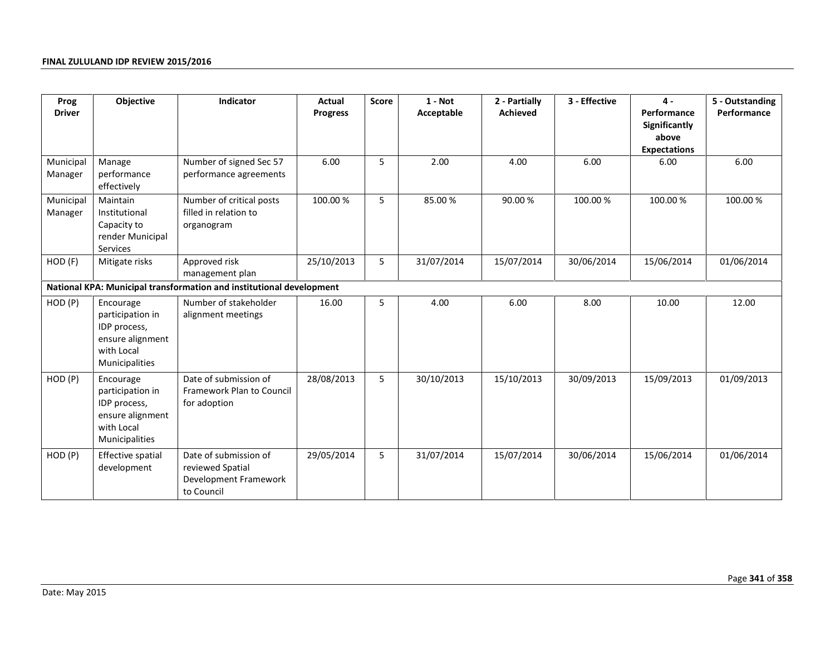| Prog                 | Objective                                                                                         | Indicator                                                                        | <b>Actual</b>                                    | <b>Score</b> | $1 - Not$  | 2 - Partially                                                | 3 - Effective | $\mathbf{4}$ | 5 - Outstanding |
|----------------------|---------------------------------------------------------------------------------------------------|----------------------------------------------------------------------------------|--------------------------------------------------|--------------|------------|--------------------------------------------------------------|---------------|--------------|-----------------|
| <b>Driver</b>        |                                                                                                   |                                                                                  | Acceptable<br><b>Achieved</b><br><b>Progress</b> |              |            | Performance<br>Significantly<br>above<br><b>Expectations</b> | Performance   |              |                 |
| Municipal<br>Manager | Manage<br>performance<br>effectively                                                              | Number of signed Sec 57<br>performance agreements                                | 6.00                                             | 5            | 2.00       | 4.00                                                         | 6.00          | 6.00         | 6.00            |
| Municipal<br>Manager | Maintain<br>Institutional<br>Capacity to<br>render Municipal<br>Services                          | Number of critical posts<br>filled in relation to<br>organogram                  | 100.00 %                                         | 5            | 85.00%     | 90.00%                                                       | 100.00 %      | 100.00 %     | 100.00 %        |
| HOD (F)              | Mitigate risks                                                                                    | Approved risk<br>management plan                                                 | 25/10/2013                                       | 5            | 31/07/2014 | 15/07/2014                                                   | 30/06/2014    | 15/06/2014   | 01/06/2014      |
|                      |                                                                                                   | National KPA: Municipal transformation and institutional development             |                                                  |              |            |                                                              |               |              |                 |
| HOD(P)               | Encourage<br>participation in<br>IDP process,<br>ensure alignment<br>with Local<br>Municipalities | Number of stakeholder<br>alignment meetings                                      | 16.00                                            | 5            | 4.00       | 6.00                                                         | 8.00          | 10.00        | 12.00           |
| HOD (P)              | Encourage<br>participation in<br>IDP process,<br>ensure alignment<br>with Local<br>Municipalities | Date of submission of<br>Framework Plan to Council<br>for adoption               | 28/08/2013                                       | 5            | 30/10/2013 | 15/10/2013                                                   | 30/09/2013    | 15/09/2013   | 01/09/2013      |
| HOD (P)              | Effective spatial<br>development                                                                  | Date of submission of<br>reviewed Spatial<br>Development Framework<br>to Council | 29/05/2014                                       | 5            | 31/07/2014 | 15/07/2014                                                   | 30/06/2014    | 15/06/2014   | 01/06/2014      |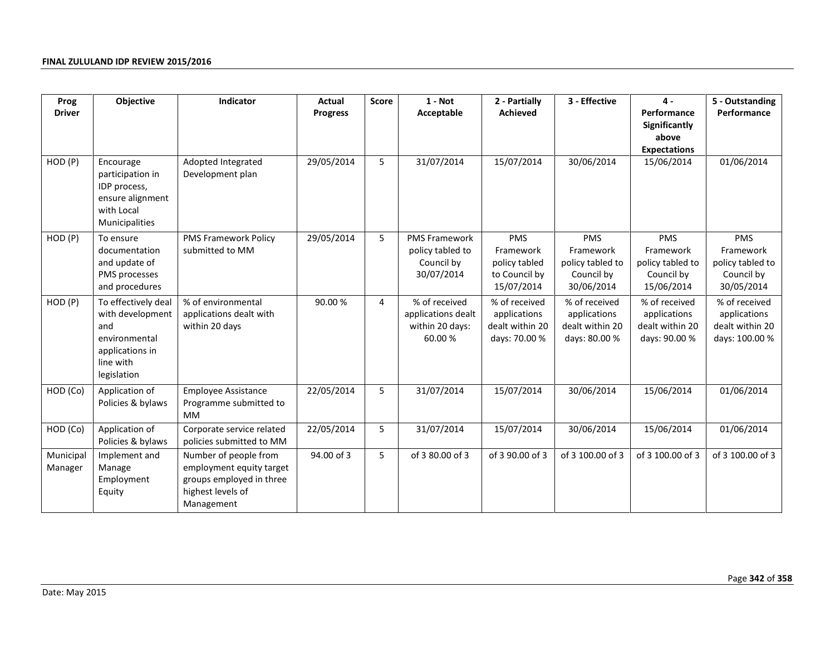| Prog                 | Objective                                                                                                      | Indicator                                                                                                        |                 | $1 - Not$<br>Actual<br>2 - Partially<br><b>Score</b> |                                                                      |                                                                         |                                                                   |                                                                         | 3 - Effective                                                      | $\mathbf{4}$ | 5 - Outstanding |
|----------------------|----------------------------------------------------------------------------------------------------------------|------------------------------------------------------------------------------------------------------------------|-----------------|------------------------------------------------------|----------------------------------------------------------------------|-------------------------------------------------------------------------|-------------------------------------------------------------------|-------------------------------------------------------------------------|--------------------------------------------------------------------|--------------|-----------------|
| <b>Driver</b>        |                                                                                                                |                                                                                                                  | <b>Progress</b> |                                                      | Acceptable                                                           | Achieved                                                                |                                                                   | Performance<br>Significantly<br>above<br><b>Expectations</b>            | Performance                                                        |              |                 |
| HOD (P)              | Encourage<br>participation in<br>IDP process,<br>ensure alignment<br>with Local<br>Municipalities              | Adopted Integrated<br>Development plan                                                                           | 29/05/2014      | 5                                                    | 31/07/2014                                                           | 15/07/2014                                                              | 30/06/2014                                                        | 15/06/2014                                                              | 01/06/2014                                                         |              |                 |
| HOD (P)              | To ensure<br>documentation<br>and update of<br>PMS processes<br>and procedures                                 | <b>PMS Framework Policy</b><br>submitted to MM                                                                   | 29/05/2014      | 5                                                    | <b>PMS Framework</b><br>policy tabled to<br>Council by<br>30/07/2014 | <b>PMS</b><br>Framework<br>policy tabled<br>to Council by<br>15/07/2014 | PMS<br>Framework<br>policy tabled to<br>Council by<br>30/06/2014  | <b>PMS</b><br>Framework<br>policy tabled to<br>Council by<br>15/06/2014 | PMS<br>Framework<br>policy tabled to<br>Council by<br>30/05/2014   |              |                 |
| HOD (P)              | To effectively deal<br>with development<br>and<br>environmental<br>applications in<br>line with<br>legislation | % of environmental<br>applications dealt with<br>within 20 days                                                  | 90.00%          | 4                                                    | % of received<br>applications dealt<br>within 20 days:<br>60.00%     | % of received<br>applications<br>dealt within 20<br>days: 70.00 %       | % of received<br>applications<br>dealt within 20<br>days: 80.00 % | % of received<br>applications<br>dealt within 20<br>days: 90.00 %       | % of received<br>applications<br>dealt within 20<br>days: 100.00 % |              |                 |
| HOD (Co)             | Application of<br>Policies & bylaws                                                                            | <b>Employee Assistance</b><br>Programme submitted to<br><b>MM</b>                                                | 22/05/2014      | 5                                                    | 31/07/2014                                                           | 15/07/2014                                                              | 30/06/2014                                                        | 15/06/2014                                                              | 01/06/2014                                                         |              |                 |
| HOD (Co)             | Application of<br>Policies & bylaws                                                                            | Corporate service related<br>policies submitted to MM                                                            | 22/05/2014      | 5                                                    | 31/07/2014                                                           | 15/07/2014                                                              | 30/06/2014                                                        | 15/06/2014                                                              | 01/06/2014                                                         |              |                 |
| Municipal<br>Manager | Implement and<br>Manage<br>Employment<br>Equity                                                                | Number of people from<br>employment equity target<br>groups employed in three<br>highest levels of<br>Management | 94.00 of 3      | 5                                                    | of 3 80.00 of 3                                                      | of 3 90.00 of 3                                                         | of 3 100.00 of 3                                                  | of 3 100.00 of 3                                                        | of 3 100.00 of 3                                                   |              |                 |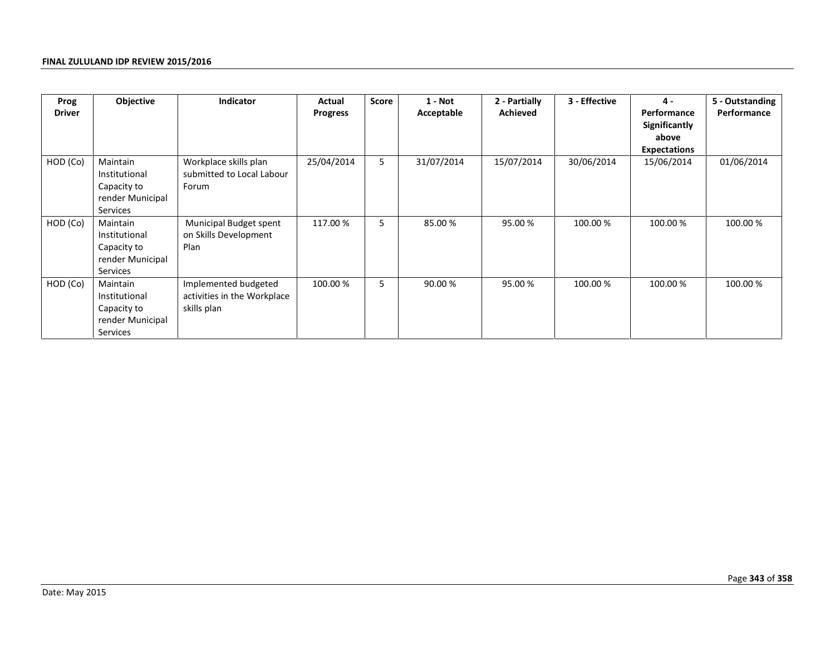| Prog          | Objective<br><b>Indicator</b>                                            |                                                                    | Actual     | <b>Score</b> | $1 - Not$  | 2 - Partially | 3 - Effective | 4 -                                                                 | 5 - Outstanding |  |
|---------------|--------------------------------------------------------------------------|--------------------------------------------------------------------|------------|--------------|------------|---------------|---------------|---------------------------------------------------------------------|-----------------|--|
| <b>Driver</b> |                                                                          |                                                                    | Progress   |              | Acceptable | Achieved      |               | Performance<br><b>Significantly</b><br>above<br><b>Expectations</b> | Performance     |  |
| HOD (Co)      | Maintain<br>Institutional<br>Capacity to<br>render Municipal<br>Services | Workplace skills plan<br>submitted to Local Labour<br>Forum        | 25/04/2014 | 5            | 31/07/2014 | 15/07/2014    | 30/06/2014    | 15/06/2014                                                          | 01/06/2014      |  |
| HOD (Co)      | Maintain<br>Institutional<br>Capacity to<br>render Municipal<br>Services | Municipal Budget spent<br>on Skills Development<br>Plan            | 117.00 %   | 5            | 85.00 %    | 95.00 %       | 100.00 %      | 100.00 %                                                            | 100.00 %        |  |
| HOD (Co)      | Maintain<br>Institutional<br>Capacity to<br>render Municipal<br>Services | Implemented budgeted<br>activities in the Workplace<br>skills plan | 100.00 %   | 5            | 90.00 %    | 95.00 %       | 100.00 %      | 100.00 %                                                            | 100.00 %        |  |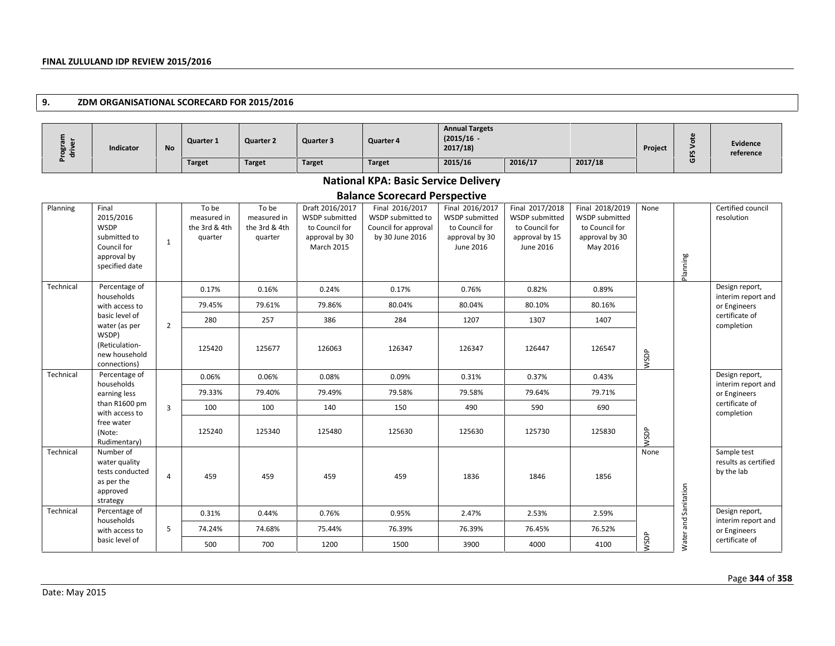### **9. ZDM ORGANISATIONAL SCORECARD FOR 2015/2016**

| $\omega$ . | Indicator | <b>No</b> | <b>Quarter 1</b> | <b>Quarter 2</b> | Quarter 3     | Quarter 4     | <b>Annual Targets</b><br>$(2015/16 -$<br>2017/18 |         |         | Project | $\mathbf{v}$ | <b>Evidence</b><br>reference |
|------------|-----------|-----------|------------------|------------------|---------------|---------------|--------------------------------------------------|---------|---------|---------|--------------|------------------------------|
| -          |           |           | <b>Target</b>    | <b>Target</b>    | <b>Target</b> | <b>Target</b> | 2015/16                                          | 2016/17 | 2017/18 |         | O            |                              |

# **National KPA: Basic Service Delivery**

| Planning  | Final<br>2015/2016<br><b>WSDP</b><br>submitted to<br>Council for<br>approval by<br>specified date | $\mathbf{1}$   | To be<br>measured in<br>the 3rd & 4th<br>quarter | To be<br>measured in<br>the 3rd & 4th<br>quarter | Draft 2016/2017<br><b>WSDP</b> submitted<br>to Council for<br>approval by 30<br>March 2015 | Final 2016/2017<br>WSDP submitted to<br>Council for approval<br>by 30 June 2016 | Final 2016/2017<br><b>WSDP</b> submitted<br>to Council for<br>approval by 30<br>June 2016 | Final 2017/2018<br>WSDP submitted<br>to Council for<br>approval by 15<br>June 2016 | Final 2018/2019<br><b>WSDP</b> submitted<br>to Council for<br>approval by 30<br>May 2016 | None | Planning             | Certified council<br>resolution                   |
|-----------|---------------------------------------------------------------------------------------------------|----------------|--------------------------------------------------|--------------------------------------------------|--------------------------------------------------------------------------------------------|---------------------------------------------------------------------------------|-------------------------------------------------------------------------------------------|------------------------------------------------------------------------------------|------------------------------------------------------------------------------------------|------|----------------------|---------------------------------------------------|
| Technical | Percentage of<br>households                                                                       |                | 0.17%                                            | 0.16%                                            | 0.24%                                                                                      | 0.17%                                                                           | 0.76%                                                                                     | 0.82%                                                                              | 0.89%                                                                                    |      |                      | Design report,<br>interim report and              |
|           | with access to                                                                                    |                | 79.45%                                           | 79.61%                                           | 79.86%                                                                                     | 80.04%                                                                          | 80.04%                                                                                    | 80.10%                                                                             | 80.16%                                                                                   |      |                      | or Engineers                                      |
|           | basic level of<br>water (as per                                                                   | $\overline{2}$ | 280                                              | 257                                              | 386                                                                                        | 284                                                                             | 1207                                                                                      | 1307                                                                               | 1407                                                                                     |      |                      | certificate of<br>completion                      |
|           | WSDP)<br>(Reticulation-<br>new household<br>connections)                                          |                | 125420                                           | 125677                                           | 126063                                                                                     | 126347                                                                          | 126347                                                                                    | 126447                                                                             | 126547                                                                                   | WSDP |                      |                                                   |
| Technical | Percentage of<br>households                                                                       |                | 0.06%                                            | 0.06%                                            | 0.08%                                                                                      | 0.09%                                                                           | 0.31%                                                                                     | 0.37%                                                                              | 0.43%                                                                                    |      |                      | Design report,<br>interim report and              |
|           | earning less                                                                                      |                | 79.33%                                           | 79.40%                                           | 79.49%                                                                                     | 79.58%                                                                          | 79.58%                                                                                    | 79.64%                                                                             | 79.71%                                                                                   |      |                      | or Engineers                                      |
|           | than R1600 pm<br>with access to                                                                   | $\overline{3}$ | 100                                              | 100                                              | 140                                                                                        | 150                                                                             | 490                                                                                       | 590                                                                                | 690                                                                                      |      |                      | certificate of<br>completion                      |
|           | free water<br>(Note:<br>Rudimentary)                                                              |                | 125240                                           | 125340                                           | 125480                                                                                     | 125630                                                                          | 125630                                                                                    | 125730                                                                             | 125830                                                                                   | WSDP |                      |                                                   |
| Technical | Number of<br>water quality<br>tests conducted<br>as per the<br>approved<br>strategy               | $\overline{4}$ | 459                                              | 459                                              | 459                                                                                        | 459                                                                             | 1836                                                                                      | 1846                                                                               | 1856                                                                                     | None | Water and Sanitation | Sample test<br>results as certified<br>by the lab |
| Technical | Percentage of<br>households                                                                       |                | 0.31%                                            | 0.44%                                            | 0.76%                                                                                      | 0.95%                                                                           | 2.47%                                                                                     | 2.53%                                                                              | 2.59%                                                                                    |      |                      | Design report,<br>interim report and              |
|           | with access to                                                                                    | 5              | 74.24%                                           | 74.68%                                           | 75.44%                                                                                     | 76.39%                                                                          | 76.39%                                                                                    | 76.45%                                                                             | 76.52%                                                                                   |      |                      | or Engineers                                      |
|           | basic level of                                                                                    |                | 500                                              | 700                                              | 1200                                                                                       | 1500                                                                            | 3900                                                                                      | 4000                                                                               | 4100                                                                                     | WSDP |                      | certificate of                                    |
|           |                                                                                                   |                |                                                  |                                                  |                                                                                            |                                                                                 |                                                                                           |                                                                                    |                                                                                          |      |                      |                                                   |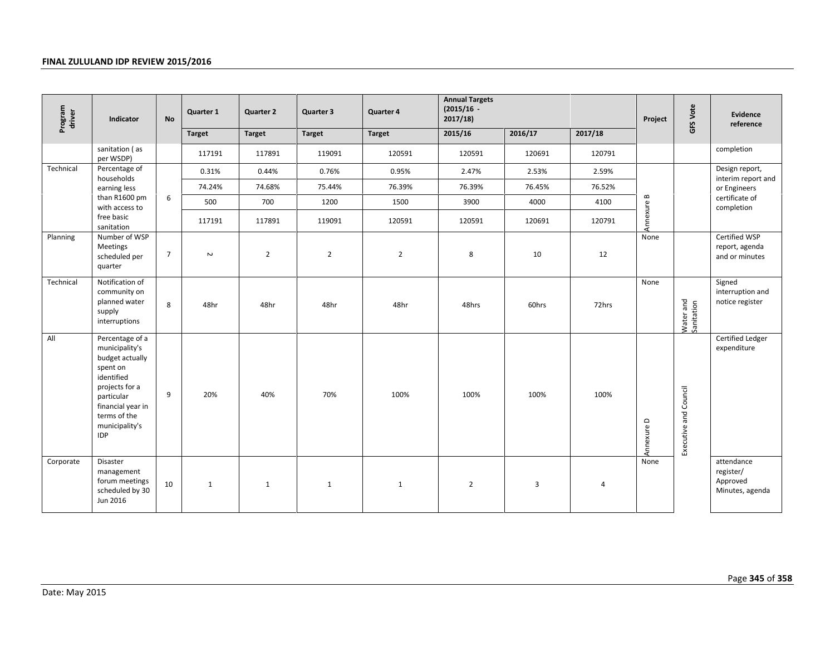| Program<br>driver<br>Indicator | <b>No</b>                                                                                                                                                                           | Quarter 1      | <b>Quarter 2</b> | Quarter 3      | Quarter 4      | <b>Annual Targets</b><br>$(2015/16 -$<br>2017/18 |                |         | Project        | GFS Vote   | Evidence<br>reference   |                                                        |
|--------------------------------|-------------------------------------------------------------------------------------------------------------------------------------------------------------------------------------|----------------|------------------|----------------|----------------|--------------------------------------------------|----------------|---------|----------------|------------|-------------------------|--------------------------------------------------------|
|                                |                                                                                                                                                                                     |                | <b>Target</b>    | <b>Target</b>  | <b>Target</b>  | <b>Target</b>                                    | 2015/16        | 2016/17 | 2017/18        |            |                         |                                                        |
|                                | sanitation (as<br>per WSDP)                                                                                                                                                         |                | 117191           | 117891         | 119091         | 120591                                           | 120591         | 120691  | 120791         |            |                         | completion                                             |
| Technical                      | Percentage of<br>households                                                                                                                                                         |                | 0.31%            | 0.44%          | 0.76%          | 0.95%                                            | 2.47%          | 2.53%   | 2.59%          |            |                         | Design report,<br>interim report and                   |
|                                | earning less                                                                                                                                                                        |                | 74.24%           | 74.68%         | 75.44%         | 76.39%                                           | 76.39%         | 76.45%  | 76.52%         |            |                         | or Engineers                                           |
|                                | than R1600 pm<br>with access to                                                                                                                                                     | 6              | 500              | 700            | 1200           | 1500                                             | 3900           | 4000    | 4100           |            |                         | certificate of<br>completion                           |
|                                | free basic<br>sanitation                                                                                                                                                            |                | 117191           | 117891         | 119091         | 120591                                           | 120591         | 120691  | 120791         | Annexure B |                         |                                                        |
| Planning                       | Number of WSP<br><b>Meetings</b><br>scheduled per<br>quarter                                                                                                                        | $\overline{7}$ | $\sim$           | $\overline{2}$ | $\overline{2}$ | $\mathbf 2$                                      | 8              | 10      | 12             | None       |                         | Certified WSP<br>report, agenda<br>and or minutes      |
| Technical                      | Notification of<br>community on<br>planned water<br>supply<br>interruptions                                                                                                         | 8              | 48hr             | 48hr           | 48hr           | 48hr                                             | 48hrs          | 60hrs   | 72hrs          | None       | Water and<br>Sanitation | Signed<br>interruption and<br>notice register          |
| All                            | Percentage of a<br>municipality's<br>budget actually<br>spent on<br>identified<br>projects for a<br>particular<br>financial year in<br>terms of the<br>municipality's<br><b>IDP</b> | 9              | 20%              | 40%            | 70%            | 100%                                             | 100%           | 100%    | 100%           | Annexure D | Executive and Council   | Certified Ledger<br>expenditure                        |
| Corporate                      | Disaster<br>management<br>forum meetings<br>scheduled by 30<br>Jun 2016                                                                                                             | $10\,$         | $\mathbf{1}$     | $\mathbf{1}$   | $\mathbf{1}$   | $\mathbf{1}$                                     | $\overline{2}$ | 3       | $\overline{4}$ | None       |                         | attendance<br>register/<br>Approved<br>Minutes, agenda |
| Date: May 2015                 |                                                                                                                                                                                     |                |                  |                |                |                                                  |                |         |                |            |                         | Page 345 of 3                                          |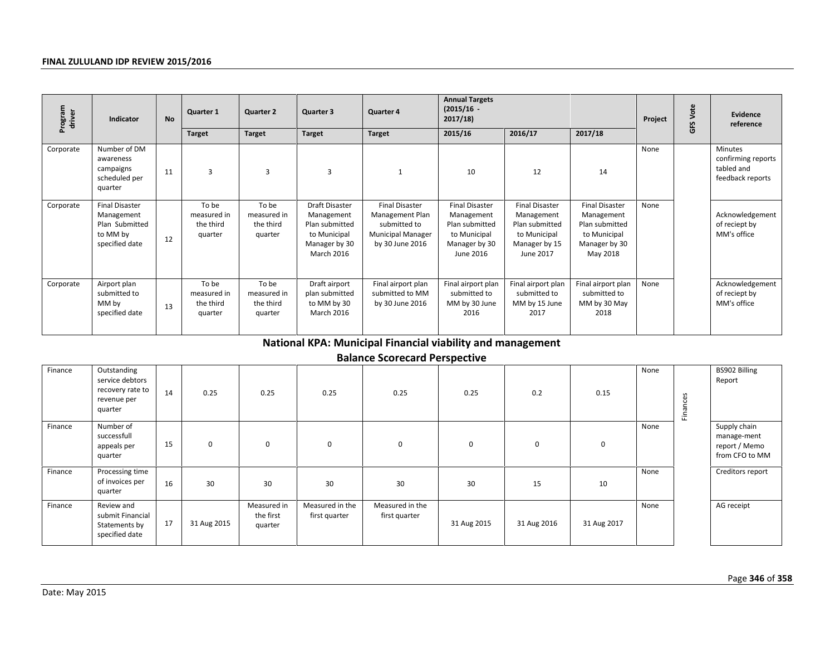| Program<br>driver | Indicator                                                                           | <b>No</b> | Quarter 1                                    | <b>Quarter 2</b>                             | Quarter 3                                                                                            | Quarter 4                                                                                               | <b>Annual Targets</b><br>$(2015/16 -$<br>2017/18)                                                   |                                                                                                     |                                                                                                    | Project | GFS Vote | <b>Evidence</b><br>reference                                    |
|-------------------|-------------------------------------------------------------------------------------|-----------|----------------------------------------------|----------------------------------------------|------------------------------------------------------------------------------------------------------|---------------------------------------------------------------------------------------------------------|-----------------------------------------------------------------------------------------------------|-----------------------------------------------------------------------------------------------------|----------------------------------------------------------------------------------------------------|---------|----------|-----------------------------------------------------------------|
|                   |                                                                                     |           | <b>Target</b>                                | <b>Target</b>                                | <b>Target</b>                                                                                        | <b>Target</b>                                                                                           | 2015/16                                                                                             | 2016/17                                                                                             | 2017/18                                                                                            |         |          |                                                                 |
| Corporate         | Number of DM<br>awareness<br>campaigns<br>scheduled per<br>quarter                  | 11        | 3                                            | 3                                            | 3                                                                                                    | $\mathbf{1}$                                                                                            | 10                                                                                                  | 12                                                                                                  | 14                                                                                                 | None    |          | Minutes<br>confirming reports<br>tabled and<br>feedback reports |
| Corporate         | <b>Final Disaster</b><br>Management<br>Plan Submitted<br>to MM by<br>specified date | 12        | To be<br>measured in<br>the third<br>quarter | To be<br>measured in<br>the third<br>quarter | <b>Draft Disaster</b><br>Management<br>Plan submitted<br>to Municipal<br>Manager by 30<br>March 2016 | <b>Final Disaster</b><br>Management Plan<br>submitted to<br><b>Municipal Manager</b><br>by 30 June 2016 | <b>Final Disaster</b><br>Management<br>Plan submitted<br>to Municipal<br>Manager by 30<br>June 2016 | <b>Final Disaster</b><br>Management<br>Plan submitted<br>to Municipal<br>Manager by 15<br>June 2017 | <b>Final Disaster</b><br>Management<br>Plan submitted<br>to Municipal<br>Manager by 30<br>May 2018 | None    |          | Acknowledgement<br>of reciept by<br>MM's office                 |
| Corporate         | Airport plan<br>submitted to<br>MM by<br>specified date                             | 13        | To be<br>measured in<br>the third<br>quarter | To be<br>measured in<br>the third<br>quarter | Draft airport<br>plan submitted<br>to MM by 30<br>March 2016                                         | Final airport plan<br>submitted to MM<br>by 30 June 2016                                                | Final airport plan<br>submitted to<br>MM by 30 June<br>2016                                         | Final airport plan<br>submitted to<br>MM by 15 June<br>2017                                         | Final airport plan<br>submitted to<br>MM by 30 May<br>2018                                         | None    |          | Acknowledgement<br>of reciept by<br>MM's office                 |
|                   |                                                                                     |           |                                              |                                              |                                                                                                      | National KPA: Municipal Financial viability and management                                              |                                                                                                     |                                                                                                     |                                                                                                    |         |          |                                                                 |
|                   |                                                                                     |           |                                              |                                              |                                                                                                      | <b>Balance Scorecard Perspective</b>                                                                    |                                                                                                     |                                                                                                     |                                                                                                    |         |          |                                                                 |
| Finance           | Outstanding<br>service debtors<br>recovery rate to<br>revenue per<br>quarter        | 14        | 0.25                                         | 0.25                                         | 0.25                                                                                                 | 0.25                                                                                                    | 0.25                                                                                                | 0.2                                                                                                 | 0.15                                                                                               | None    | Finances | BS902 Billing<br>Report                                         |
| Finance           | Number of<br>successfull<br>appeals per<br>quarter                                  | 15        | $\mathbf 0$                                  | $\mathbf 0$                                  | $\pmb{0}$                                                                                            | $\mathbf 0$                                                                                             | $\pmb{0}$                                                                                           | 0                                                                                                   | $\pmb{0}$                                                                                          | None    |          | Supply chain<br>manage-ment<br>report / Memo<br>from CFO to MM  |
| Finance           | Processing time<br>of invoices per<br>quarter                                       | 16        | 30                                           | 30                                           | 30                                                                                                   | 30                                                                                                      | 30                                                                                                  | 15                                                                                                  | 10                                                                                                 | None    |          | Creditors report                                                |
| Finance           | Review and<br>submit Financial<br>Statements by<br>specified date                   | 17        | 31 Aug 2015                                  | Measured in<br>the first<br>quarter          | Measured in the<br>first quarter                                                                     | Measured in the<br>first quarter                                                                        | 31 Aug 2015                                                                                         | 31 Aug 2016                                                                                         | 31 Aug 2017                                                                                        | None    |          | AG receipt                                                      |
| Date: May 2015    |                                                                                     |           |                                              |                                              |                                                                                                      |                                                                                                         |                                                                                                     |                                                                                                     |                                                                                                    |         |          | Page 346 of 3                                                   |

| Finance | Outstanding<br>service debtors<br>recovery rate to<br>revenue per<br>quarter | 14 | 0.25        | 0.25                                | 0.25                             | 0.25                             | 0.25        | 0.2         | 0.15        | None | ces<br>Fina | BS902 Billing<br>Report                                        |
|---------|------------------------------------------------------------------------------|----|-------------|-------------------------------------|----------------------------------|----------------------------------|-------------|-------------|-------------|------|-------------|----------------------------------------------------------------|
| Finance | Number of<br>successfull<br>appeals per<br>quarter                           | 15 | $\mathbf 0$ | $\mathbf 0$                         | $\mathbf 0$                      | $\mathbf 0$                      | $\mathbf 0$ | 0           | $\mathbf 0$ | None |             | Supply chain<br>manage-ment<br>report / Memo<br>from CFO to MM |
| Finance | Processing time<br>of invoices per<br>quarter                                | 16 | 30          | 30                                  | 30                               | 30                               | 30          | 15          | 10          | None |             | Creditors report                                               |
| Finance | Review and<br>submit Financial<br>Statements by<br>specified date            | 17 | 31 Aug 2015 | Measured in<br>the first<br>quarter | Measured in the<br>first quarter | Measured in the<br>first quarter | 31 Aug 2015 | 31 Aug 2016 | 31 Aug 2017 | None |             | AG receipt                                                     |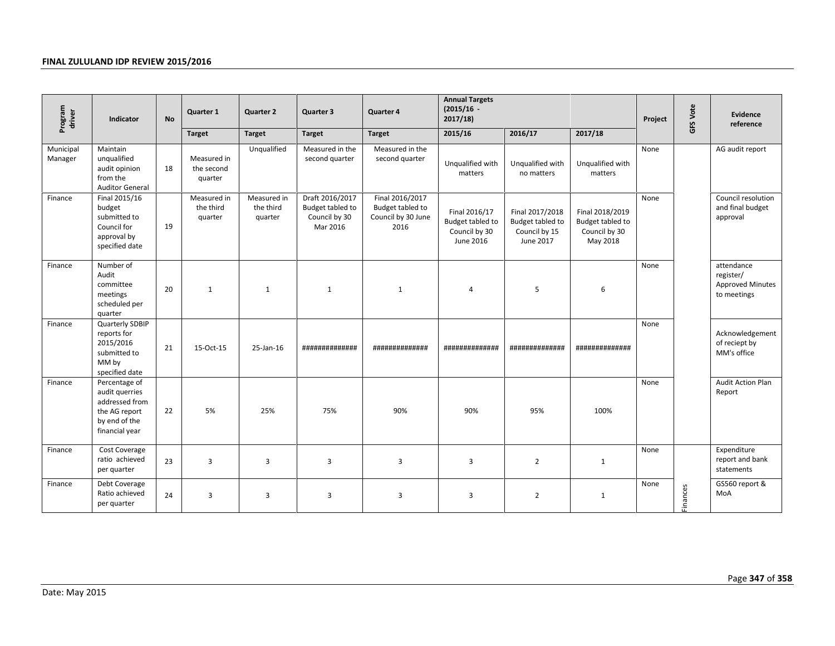| Program<br>driver    | Indicator                                                                                             | <b>No</b> | Quarter 1                            | <b>Quarter 2</b>                    | Quarter 3                                                        | Quarter 4                                                         | <b>Annual Targets</b><br>$(2015/16 -$<br>2017/18)               |                                                                   |                                                                  | Project | GFS Vote | Evidence<br>reference                                      |
|----------------------|-------------------------------------------------------------------------------------------------------|-----------|--------------------------------------|-------------------------------------|------------------------------------------------------------------|-------------------------------------------------------------------|-----------------------------------------------------------------|-------------------------------------------------------------------|------------------------------------------------------------------|---------|----------|------------------------------------------------------------|
|                      |                                                                                                       |           | <b>Target</b>                        | <b>Target</b>                       | <b>Target</b>                                                    | <b>Target</b>                                                     | 2015/16                                                         | 2016/17                                                           | 2017/18                                                          |         |          |                                                            |
| Municipal<br>Manager | Maintain<br>unqualified<br>audit opinion<br>from the<br><b>Auditor General</b>                        | 18        | Measured in<br>the second<br>quarter | Unqualified                         | Measured in the<br>second quarter                                | Measured in the<br>second quarter                                 | Unqualified with<br>matters                                     | Unqualified with<br>no matters                                    | Unqualified with<br>matters                                      | None    |          | AG audit report                                            |
| Finance              | Final 2015/16<br>budget<br>submitted to<br>Council for<br>approval by<br>specified date               | 19        | Measured in<br>the third<br>quarter  | Measured in<br>the third<br>quarter | Draft 2016/2017<br>Budget tabled to<br>Council by 30<br>Mar 2016 | Final 2016/2017<br>Budget tabled to<br>Council by 30 June<br>2016 | Final 2016/17<br>Budget tabled to<br>Council by 30<br>June 2016 | Final 2017/2018<br>Budget tabled to<br>Council by 15<br>June 2017 | Final 2018/2019<br>Budget tabled to<br>Council by 30<br>May 2018 | None    |          | Council resolution<br>and final budget<br>approval         |
| Finance              | Number of<br>Audit<br>committee<br>meetings<br>scheduled per<br>quarter                               | 20        | $\mathbf{1}$                         | $\mathbf{1}$                        | $\mathbf{1}$                                                     | $\mathbf{1}$                                                      | $\sqrt{4}$                                                      | 5                                                                 | 6                                                                | None    |          | attendance<br>register/<br>Approved Minutes<br>to meetings |
| Finance              | Quarterly SDBIP<br>reports for<br>2015/2016<br>submitted to<br>MM by<br>specified date                | 21        | 15-Oct-15                            | 25-Jan-16                           | ##############                                                   | #############                                                     | ##############                                                  | ##############                                                    | ##############                                                   | None    |          | Acknowledgement<br>of reciept by<br>MM's office            |
| Finance              | Percentage of<br>audit querries<br>addressed from<br>the AG report<br>by end of the<br>financial year | 22        | 5%                                   | 25%                                 | 75%                                                              | 90%                                                               | 90%                                                             | 95%                                                               | 100%                                                             | None    |          | Audit Action Plan<br>Report                                |
| Finance              | Cost Coverage<br>ratio achieved<br>per quarter                                                        | 23        | $\overline{3}$                       | 3                                   | $\overline{3}$                                                   | $\overline{\mathbf{3}}$                                           | 3                                                               | $\overline{2}$                                                    | $\mathbf{1}$                                                     | None    |          | Expenditure<br>report and bank<br>statements               |
| Finance              | Debt Coverage<br>Ratio achieved<br>per quarter                                                        | 24        | $\overline{3}$                       | 3                                   | $\overline{3}$                                                   | $\overline{\mathbf{3}}$                                           | $\overline{3}$                                                  | $\overline{2}$                                                    | $\mathbf{1}$                                                     | None    | Finances | GS560 report &<br>MoA                                      |
| Date: May 2015       |                                                                                                       |           |                                      |                                     |                                                                  |                                                                   |                                                                 |                                                                   |                                                                  |         |          | Page 347 of 3                                              |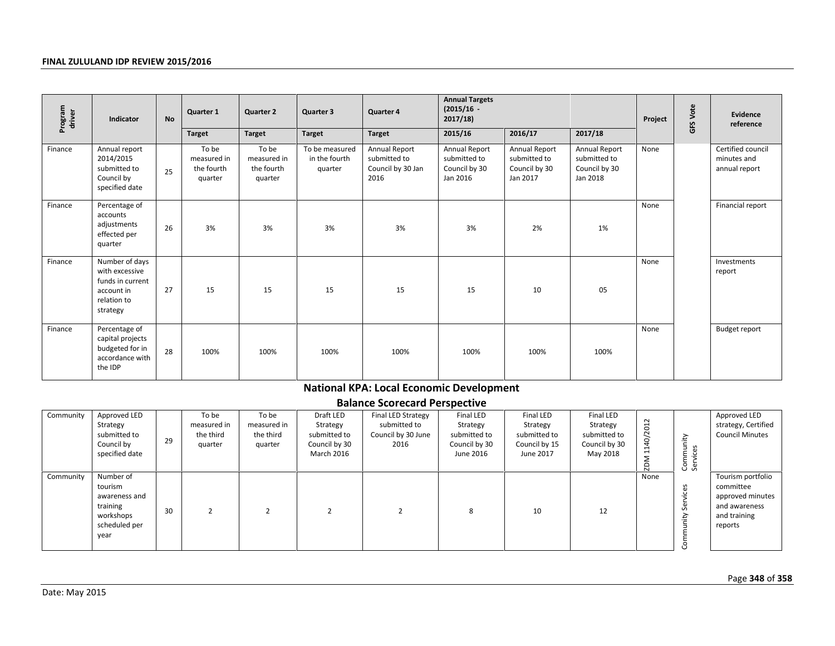| Program<br>driver | Indicator                                                                                     | <b>No</b> | Quarter 1                                     | <b>Quarter 2</b>                              | Quarter 3                                                            | Quarter 4                                                        | <b>Annual Targets</b><br>$(2015/16 -$<br>2017/18                           |                                                                     |                                                                           | Project       | <b>GFS Vote</b>       | Evidence<br>reference                                                                          |  |
|-------------------|-----------------------------------------------------------------------------------------------|-----------|-----------------------------------------------|-----------------------------------------------|----------------------------------------------------------------------|------------------------------------------------------------------|----------------------------------------------------------------------------|---------------------------------------------------------------------|---------------------------------------------------------------------------|---------------|-----------------------|------------------------------------------------------------------------------------------------|--|
|                   |                                                                                               |           | <b>Target</b>                                 | <b>Target</b>                                 | <b>Target</b>                                                        | <b>Target</b>                                                    | 2015/16                                                                    | 2016/17                                                             | 2017/18                                                                   |               |                       |                                                                                                |  |
| Finance           | Annual report<br>2014/2015<br>submitted to<br>Council by<br>specified date                    | 25        | To be<br>measured in<br>the fourth<br>quarter | To be<br>measured in<br>the fourth<br>quarter | To be measured<br>in the fourth<br>quarter                           | Annual Report<br>submitted to<br>Council by 30 Jan<br>2016       | Annual Report<br>submitted to<br>Council by 30<br>Jan 2016                 | Annual Report<br>submitted to<br>Council by 30<br>Jan 2017          | Annual Report<br>submitted to<br>Council by 30<br>Jan 2018                | None          |                       | Certified council<br>minutes and<br>annual report                                              |  |
| Finance           | Percentage of<br>accounts<br>adjustments<br>effected per<br>quarter                           | 26        | 3%                                            | 3%                                            | 3%                                                                   | 3%                                                               | 3%                                                                         | 2%                                                                  | 1%                                                                        | None          |                       | Financial report                                                                               |  |
| Finance           | Number of days<br>with excessive<br>funds in current<br>account in<br>relation to<br>strategy | 27        | 15                                            | 15                                            | 15                                                                   | 15                                                               | 15                                                                         | 10                                                                  | 05                                                                        | None          |                       | Investments<br>report                                                                          |  |
| Finance           | Percentage of<br>capital projects<br>budgeted for in<br>accordance with<br>the IDP            | 28        | 100%                                          | 100%                                          | 100%                                                                 | 100%                                                             | 100%                                                                       | 100%                                                                | 100%                                                                      | None          |                       | <b>Budget report</b>                                                                           |  |
|                   |                                                                                               |           |                                               |                                               |                                                                      | <b>National KPA: Local Economic Development</b>                  |                                                                            |                                                                     |                                                                           |               |                       |                                                                                                |  |
|                   |                                                                                               |           |                                               |                                               |                                                                      | <b>Balance Scorecard Perspective</b>                             |                                                                            |                                                                     |                                                                           |               |                       |                                                                                                |  |
| Community         | Approved LED<br>Strategy<br>submitted to<br>Council by<br>specified date                      | 29        | To be<br>measured in<br>the third<br>quarter  | To be<br>measured in<br>the third<br>quarter  | Draft LED<br>Strategy<br>submitted to<br>Council by 30<br>March 2016 | Final LED Strategy<br>submitted to<br>Council by 30 June<br>2016 | <b>Final LED</b><br>Strategy<br>submitted to<br>Council by 30<br>June 2016 | Final LED<br>Strategy<br>submitted to<br>Council by 15<br>June 2017 | <b>Final LED</b><br>Strategy<br>submitted to<br>Council by 30<br>May 2018 | ZDM 1140/2012 | Community<br>Services | Approved LED<br>strategy, Certified<br><b>Council Minutes</b>                                  |  |
| Community         | Number of<br>tourism<br>awareness and<br>training<br>workshops<br>scheduled per<br>year       | 30        | $\overline{2}$                                | $\overline{2}$                                | $\overline{2}$                                                       | $\overline{2}$                                                   | 8                                                                          | 10                                                                  | 12                                                                        | None          | Community Services    | Tourism portfolio<br>committee<br>approved minutes<br>and awareness<br>and training<br>reports |  |
| Date: May 2015    | Page 348 of 3                                                                                 |           |                                               |                                               |                                                                      |                                                                  |                                                                            |                                                                     |                                                                           |               |                       |                                                                                                |  |

# **National KPA: Local Economic Development**

| Community | Approved LED<br>Strategy<br>submitted to<br>Council by<br>specified date                | 29 | To be<br>measured in<br>the third<br>quarter | To be<br>measured in<br>the third<br>quarter | Draft LED<br>Strategy<br>submitted to<br>Council by 30<br>March 2016 | <b>Final LED Strategy</b><br>submitted to<br>Council by 30 June<br>2016 | Final LED<br>Strategy<br>submitted to<br>Council by 30<br>June 2016 | Final LED<br>Strategy<br>submitted to<br>Council by 15<br>June 2017 | Final LED<br>Strategy<br>submitted to<br>Council by 30<br>May 2018 | $\overline{z}$<br>$\circ$<br>$\bar{N}$<br>40/3<br>$\overline{ }$<br>$\overline{ }$ | nity<br>Commur<br>Services   | Approved LED<br>strategy, Certified<br><b>Council Minutes</b>                                  |
|-----------|-----------------------------------------------------------------------------------------|----|----------------------------------------------|----------------------------------------------|----------------------------------------------------------------------|-------------------------------------------------------------------------|---------------------------------------------------------------------|---------------------------------------------------------------------|--------------------------------------------------------------------|------------------------------------------------------------------------------------|------------------------------|------------------------------------------------------------------------------------------------|
| Community | Number of<br>tourism<br>awareness and<br>training<br>workshops<br>scheduled per<br>year | 30 |                                              |                                              |                                                                      |                                                                         | 8                                                                   | 10                                                                  | 12                                                                 | None                                                                               | $\mathsf{S}$<br>āi<br>$\sim$ | Tourism portfolio<br>committee<br>approved minutes<br>and awareness<br>and training<br>reports |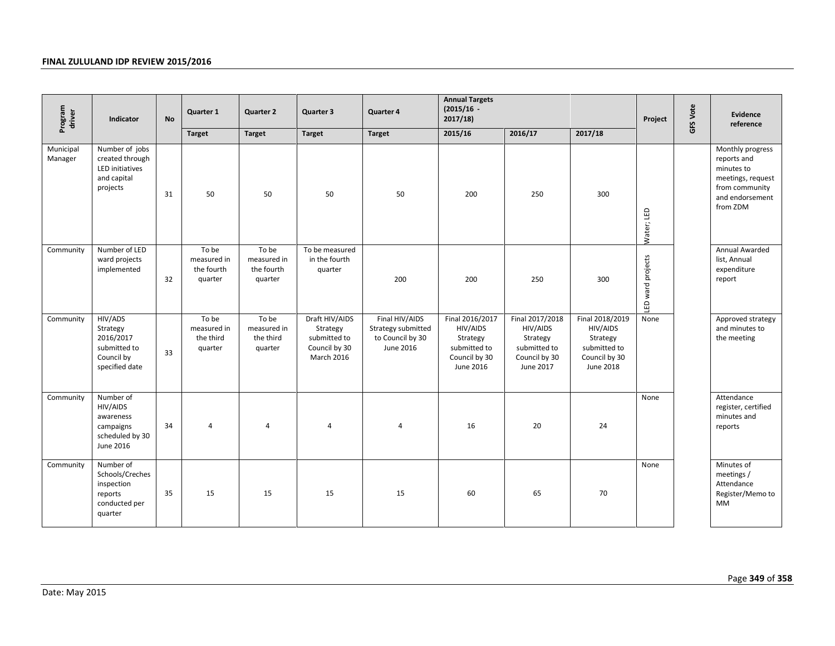| Program<br>driver    | Indicator                                                                         | <b>No</b> | Quarter 1                                     | <b>Quarter 2</b>                              | Quarter 3                                                                 | Quarter 4                                                             | <b>Annual Targets</b><br>$(2015/16 -$<br>2017/18                                      |                                                                                       |                                                                                       | Project           | GFS Vote | Evidence<br>reference                                                                                               |
|----------------------|-----------------------------------------------------------------------------------|-----------|-----------------------------------------------|-----------------------------------------------|---------------------------------------------------------------------------|-----------------------------------------------------------------------|---------------------------------------------------------------------------------------|---------------------------------------------------------------------------------------|---------------------------------------------------------------------------------------|-------------------|----------|---------------------------------------------------------------------------------------------------------------------|
|                      |                                                                                   |           | <b>Target</b>                                 | <b>Target</b>                                 | <b>Target</b>                                                             | <b>Target</b>                                                         | 2015/16                                                                               | 2016/17                                                                               | 2017/18                                                                               |                   |          |                                                                                                                     |
| Municipal<br>Manager | Number of jobs<br>created through<br>LED initiatives<br>and capital<br>projects   | 31        | 50                                            | 50                                            | 50                                                                        | 50                                                                    | 200                                                                                   | 250                                                                                   | 300                                                                                   | Water; LED        |          | Monthly progress<br>reports and<br>minutes to<br>meetings, request<br>from community<br>and endorsement<br>from ZDM |
| Community            | Number of LED<br>ward projects<br>implemented                                     | 32        | To be<br>measured in<br>the fourth<br>quarter | To be<br>measured in<br>the fourth<br>quarter | To be measured<br>in the fourth<br>quarter                                | 200                                                                   | 200                                                                                   | 250                                                                                   | 300                                                                                   | LED ward projects |          | Annual Awarded<br>list, Annual<br>expenditure<br>report                                                             |
| Community            | HIV/ADS<br>Strategy<br>2016/2017<br>submitted to<br>Council by<br>specified date  | 33        | To be<br>measured in<br>the third<br>quarter  | To be<br>measured in<br>the third<br>quarter  | Draft HIV/AIDS<br>Strategy<br>submitted to<br>Council by 30<br>March 2016 | Final HIV/AIDS<br>Strategy submitted<br>to Council by 30<br>June 2016 | Final 2016/2017<br>HIV/AIDS<br>Strategy<br>submitted to<br>Council by 30<br>June 2016 | Final 2017/2018<br>HIV/AIDS<br>Strategy<br>submitted to<br>Council by 30<br>June 2017 | Final 2018/2019<br>HIV/AIDS<br>Strategy<br>submitted to<br>Council by 30<br>June 2018 | None              |          | Approved strategy<br>and minutes to<br>the meeting                                                                  |
| Community            | Number of<br>HIV/AIDS<br>awareness<br>campaigns<br>scheduled by 30<br>June 2016   | 34        | $\overline{a}$                                | 4                                             | $\overline{4}$                                                            | 4                                                                     | 16                                                                                    | 20                                                                                    | 24                                                                                    | None              |          | Attendance<br>register, certified<br>minutes and<br>reports                                                         |
| Community            | Number of<br>Schools/Creches<br>inspection<br>reports<br>conducted per<br>quarter | 35        | 15                                            | 15                                            | 15                                                                        | 15                                                                    | 60                                                                                    | 65                                                                                    | 70                                                                                    | None              |          | Minutes of<br>meetings /<br>Attendance<br>Register/Memo to<br>MM                                                    |
| Date: May 2015       |                                                                                   |           |                                               |                                               |                                                                           |                                                                       |                                                                                       |                                                                                       |                                                                                       |                   |          | Page 349 of 3                                                                                                       |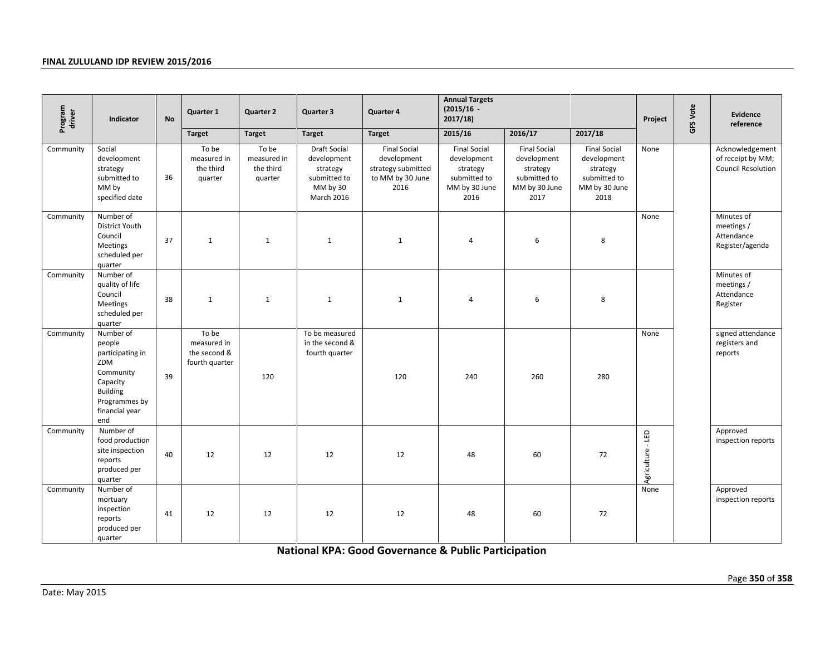| Program<br>driver<br>Indicator |                                                                                                                                      | <b>No</b> | Quarter 1                                              | <b>Quarter 2</b>                             | Quarter 3                                                                         | Quarter 4                                                                            | <b>Annual Targets</b><br>$(2015/16 -$<br>2017/18)                                       |                                                                                         |                                                                                         | Project           | GFS Vote | Evidence<br>reference                                             |
|--------------------------------|--------------------------------------------------------------------------------------------------------------------------------------|-----------|--------------------------------------------------------|----------------------------------------------|-----------------------------------------------------------------------------------|--------------------------------------------------------------------------------------|-----------------------------------------------------------------------------------------|-----------------------------------------------------------------------------------------|-----------------------------------------------------------------------------------------|-------------------|----------|-------------------------------------------------------------------|
|                                |                                                                                                                                      |           | <b>Target</b>                                          | <b>Target</b>                                | <b>Target</b>                                                                     | <b>Target</b>                                                                        | 2015/16                                                                                 | 2016/17                                                                                 | 2017/18                                                                                 |                   |          |                                                                   |
| Community                      | Social<br>development<br>strategy<br>submitted to<br>MM by<br>specified date                                                         | 36        | To be<br>measured in<br>the third<br>quarter           | To be<br>measured in<br>the third<br>quarter | Draft Social<br>development<br>strategy<br>submitted to<br>MM by 30<br>March 2016 | <b>Final Social</b><br>development<br>strategy submitted<br>to MM by 30 June<br>2016 | <b>Final Social</b><br>development<br>strategy<br>submitted to<br>MM by 30 June<br>2016 | <b>Final Social</b><br>development<br>strategy<br>submitted to<br>MM by 30 June<br>2017 | <b>Final Social</b><br>development<br>strategy<br>submitted to<br>MM by 30 June<br>2018 | None              |          | Acknowledgement<br>of receipt by MM;<br><b>Council Resolution</b> |
| Community                      | Number of<br>District Youth<br>Council<br>Meetings<br>scheduled per<br>quarter                                                       | 37        | $\mathbf{1}$                                           | $\mathbf{1}$                                 | $\mathbf{1}$                                                                      | $\mathbf{1}$                                                                         | $\overline{4}$                                                                          | 6                                                                                       | 8                                                                                       | None              |          | Minutes of<br>meetings /<br>Attendance<br>Register/agenda         |
| Community                      | Number of<br>quality of life<br>Council<br>Meetings<br>scheduled per<br>quarter                                                      | 38        | $\mathbf{1}$                                           | $\mathbf{1}$                                 | $\mathbf{1}$                                                                      | $\mathbf{1}$                                                                         | $\overline{a}$                                                                          | 6                                                                                       | 8                                                                                       |                   |          | Minutes of<br>meetings /<br>Attendance<br>Register                |
| Community                      | Number of<br>people<br>participating in<br>ZDM<br>Community<br>Capacity<br><b>Building</b><br>Programmes by<br>financial year<br>end | 39        | To be<br>measured in<br>the second &<br>fourth quarter | 120                                          | To be measured<br>in the second &<br>fourth quarter                               | 120                                                                                  | 240                                                                                     | 260                                                                                     | 280                                                                                     | None              |          | signed attendance<br>registers and<br>reports                     |
| Community                      | Number of<br>food production<br>site inspection<br>reports<br>produced per<br>quarter                                                | 40        | 12                                                     | 12                                           | 12                                                                                | 12                                                                                   | 48                                                                                      | 60                                                                                      | 72                                                                                      | Agriculture - LED |          | Approved<br>inspection reports                                    |
| Community                      | Number of<br>mortuary<br>inspection<br>reports<br>produced per<br>quarter                                                            | 41        | 12                                                     | 12                                           | 12                                                                                | 12                                                                                   | 48                                                                                      | 60                                                                                      | 72                                                                                      | None              |          | Approved<br>inspection reports                                    |
|                                |                                                                                                                                      |           |                                                        |                                              |                                                                                   | <b>National KPA: Good Governance &amp; Public Participation</b>                      |                                                                                         |                                                                                         |                                                                                         |                   |          |                                                                   |
| Date: May 2015                 |                                                                                                                                      |           |                                                        |                                              |                                                                                   |                                                                                      |                                                                                         |                                                                                         |                                                                                         |                   |          | Page 350 of 3                                                     |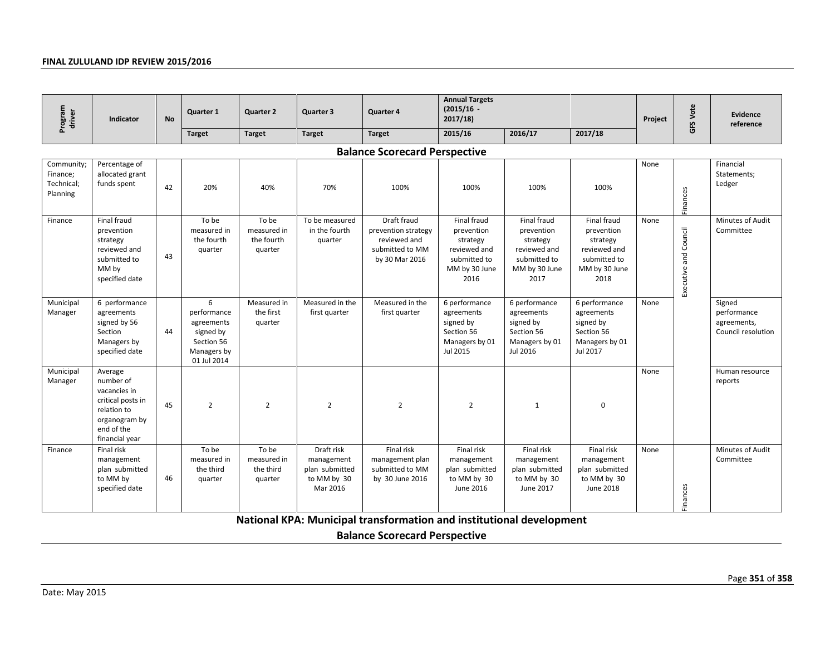| Program<br>driver<br>Indicator                   |                                                                                                                           | <b>No</b> | Quarter 1                                                                               | <b>Quarter 2</b>                              | Quarter 3                                                             | Quarter 4                                                                               | <b>Annual Targets</b><br>$(2015/16 -$<br>2017/18)                                              |                                                                                                |                                                                                                | Project | GFS Vote               | Evidence<br>reference                                      |
|--------------------------------------------------|---------------------------------------------------------------------------------------------------------------------------|-----------|-----------------------------------------------------------------------------------------|-----------------------------------------------|-----------------------------------------------------------------------|-----------------------------------------------------------------------------------------|------------------------------------------------------------------------------------------------|------------------------------------------------------------------------------------------------|------------------------------------------------------------------------------------------------|---------|------------------------|------------------------------------------------------------|
|                                                  |                                                                                                                           |           | <b>Target</b>                                                                           | <b>Target</b>                                 | <b>Target</b>                                                         | <b>Target</b>                                                                           | 2015/16                                                                                        | 2016/17                                                                                        | 2017/18                                                                                        |         |                        |                                                            |
|                                                  |                                                                                                                           |           |                                                                                         |                                               |                                                                       | <b>Balance Scorecard Perspective</b>                                                    |                                                                                                |                                                                                                |                                                                                                |         |                        |                                                            |
| Community;<br>Finance;<br>Technical;<br>Planning | Percentage of<br>allocated grant<br>funds spent                                                                           | 42        | 20%                                                                                     | 40%                                           | 70%                                                                   | 100%                                                                                    | 100%                                                                                           | 100%                                                                                           | 100%                                                                                           | None    | Finances               | Financial<br>Statements;<br>Ledger                         |
| Finance                                          | Final fraud<br>prevention<br>strategy<br>reviewed and<br>submitted to<br>MM by<br>specified date                          | 43        | To be<br>measured in<br>the fourth<br>quarter                                           | To be<br>measured in<br>the fourth<br>quarter | To be measured<br>in the fourth<br>quarter                            | Draft fraud<br>prevention strategy<br>reviewed and<br>submitted to MM<br>by 30 Mar 2016 | Final fraud<br>prevention<br>strategy<br>reviewed and<br>submitted to<br>MM by 30 June<br>2016 | Final fraud<br>prevention<br>strategy<br>reviewed and<br>submitted to<br>MM by 30 June<br>2017 | Final fraud<br>prevention<br>strategy<br>reviewed and<br>submitted to<br>MM by 30 June<br>2018 | None    | Executive and Council  | Minutes of Audit<br>Committee                              |
| Municipal<br>Manager                             | 6 performance<br>agreements<br>signed by 56<br>Section<br>Managers by<br>specified date                                   | 44        | 6<br>performance<br>agreements<br>signed by<br>Section 56<br>Managers by<br>01 Jul 2014 | Measured in<br>the first<br>quarter           | Measured in the<br>first quarter                                      | Measured in the<br>first quarter                                                        | 6 performance<br>agreements<br>signed by<br>Section 56<br>Managers by 01<br>Jul 2015           | 6 performance<br>agreements<br>signed by<br>Section 56<br>Managers by 01<br>Jul 2016           | 6 performance<br>agreements<br>signed by<br>Section 56<br>Managers by 01<br>Jul 2017           | None    |                        | Signed<br>performance<br>agreements,<br>Council resolution |
| Municipal<br>Manager                             | Average<br>number of<br>vacancies in<br>critical posts in<br>relation to<br>organogram by<br>end of the<br>financial year | 45        | $\overline{2}$                                                                          | $\overline{2}$                                | $\overline{2}$                                                        | $\overline{2}$                                                                          | $\overline{2}$                                                                                 | $\mathbf{1}$                                                                                   | $\mathbf 0$                                                                                    | None    |                        | Human resource<br>reports                                  |
| Finance                                          | Final risk<br>management<br>plan submitted<br>to MM by<br>specified date                                                  | 46        | To be<br>measured in<br>the third<br>quarter                                            | To be<br>measured in<br>the third<br>quarter  | Draft risk<br>management<br>plan submitted<br>to MM by 30<br>Mar 2016 | Final risk<br>management plan<br>submitted to MM<br>by 30 June 2016                     | Final risk<br>management<br>plan submitted<br>to MM by 30<br>June 2016                         | Final risk<br>management<br>plan submitted<br>to MM by 30<br>June 2017                         | Final risk<br>management<br>plan submitted<br>to MM by 30<br>June 2018                         | None    | <i><u>Finances</u></i> | Minutes of Audit<br>Committee                              |
|                                                  |                                                                                                                           |           |                                                                                         |                                               |                                                                       | National KPA: Municipal transformation and institutional development                    |                                                                                                |                                                                                                |                                                                                                |         |                        |                                                            |
|                                                  |                                                                                                                           |           |                                                                                         |                                               |                                                                       | <b>Balance Scorecard Perspective</b>                                                    |                                                                                                |                                                                                                |                                                                                                |         |                        |                                                            |
| Date: May 2015                                   |                                                                                                                           |           |                                                                                         |                                               |                                                                       |                                                                                         |                                                                                                |                                                                                                |                                                                                                |         |                        | Page 351 of 3                                              |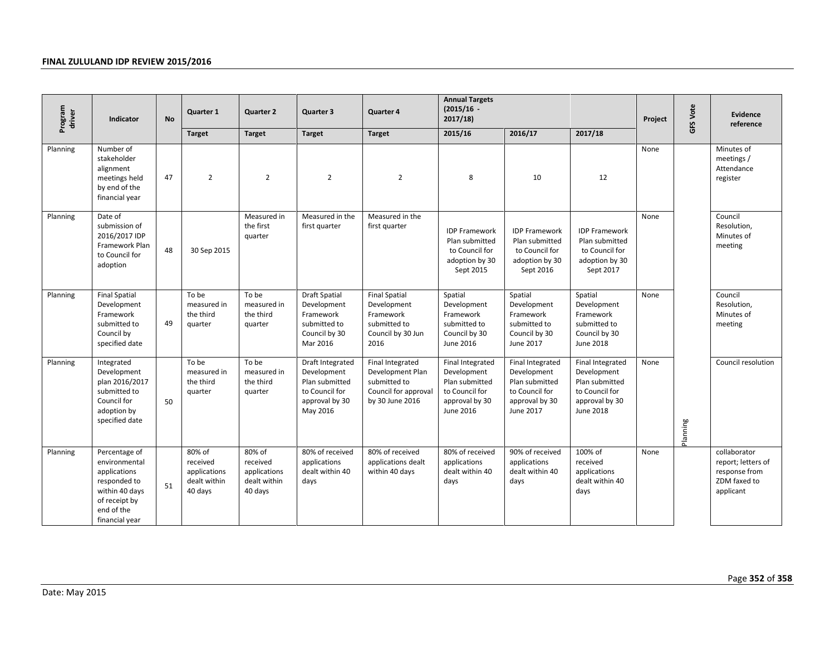| Program<br>driver | Indicator                                                                                                                         | <b>No</b> | Quarter 1                                                     | <b>Quarter 2</b>                                              | Quarter 3                                                                                         | Quarter 4                                                                                       | <b>Annual Targets</b><br>$(2015/16 -$<br>2017/18                                                   |                                                                                                    |                                                                                                           | Project | <b>GFS Vote</b> | <b>Evidence</b><br>reference                                                     |
|-------------------|-----------------------------------------------------------------------------------------------------------------------------------|-----------|---------------------------------------------------------------|---------------------------------------------------------------|---------------------------------------------------------------------------------------------------|-------------------------------------------------------------------------------------------------|----------------------------------------------------------------------------------------------------|----------------------------------------------------------------------------------------------------|-----------------------------------------------------------------------------------------------------------|---------|-----------------|----------------------------------------------------------------------------------|
|                   |                                                                                                                                   |           | <b>Target</b>                                                 | <b>Target</b>                                                 | <b>Target</b>                                                                                     | <b>Target</b>                                                                                   | 2015/16                                                                                            | 2016/17                                                                                            | 2017/18                                                                                                   |         |                 |                                                                                  |
| Planning          | Number of<br>stakeholder<br>alignment<br>meetings held<br>by end of the<br>financial year                                         | 47        | $\overline{2}$                                                | $\overline{2}$                                                | $\overline{2}$                                                                                    | $\overline{2}$                                                                                  | 8                                                                                                  | 10                                                                                                 | 12                                                                                                        | None    |                 | Minutes of<br>meetings /<br>Attendance<br>register                               |
| Planning          | Date of<br>submission of<br>2016/2017 IDP<br>Framework Plan<br>to Council for<br>adoption                                         | 48        | 30 Sep 2015                                                   | Measured in<br>the first<br>quarter                           | Measured in the<br>first quarter                                                                  | Measured in the<br>first quarter                                                                | <b>IDP Framework</b><br>Plan submitted<br>to Council for<br>adoption by 30<br>Sept 2015            | <b>IDP Framework</b><br>Plan submitted<br>to Council for<br>adoption by 30<br>Sept 2016            | <b>IDP Framework</b><br>Plan submitted<br>to Council for<br>adoption by 30<br>Sept 2017                   | None    |                 | Council<br>Resolution,<br>Minutes of<br>meeting                                  |
| Planning          | <b>Final Spatial</b><br>Development<br>Framework<br>submitted to<br>Council by<br>specified date                                  | 49        | To be<br>measured in<br>the third<br>quarter                  | To be<br>measured in<br>the third<br>quarter                  | <b>Draft Spatial</b><br>Development<br>Framework<br>submitted to<br>Council by 30<br>Mar 2016     | <b>Final Spatial</b><br>Development<br>Framework<br>submitted to<br>Council by 30 Jun<br>2016   | Spatial<br>Development<br>Framework<br>submitted to<br>Council by 30<br>June 2016                  | Spatial<br>Development<br>Framework<br>submitted to<br>Council by 30<br>June 2017                  | Spatial<br>Development<br>Framework<br>submitted to<br>Council by 30<br>June 2018                         | None    |                 | Council<br>Resolution,<br>Minutes of<br>meeting                                  |
| Planning          | Integrated<br>Development<br>plan 2016/2017<br>submitted to<br>Council for<br>adoption by<br>specified date                       | 50        | To be<br>measured in<br>the third<br>quarter                  | To be<br>measured in<br>the third<br>quarter                  | Draft Integrated<br>Development<br>Plan submitted<br>to Council for<br>approval by 30<br>May 2016 | Final Integrated<br>Development Plan<br>submitted to<br>Council for approval<br>by 30 June 2016 | Final Integrated<br>Development<br>Plan submitted<br>to Council for<br>approval by 30<br>June 2016 | Final Integrated<br>Development<br>Plan submitted<br>to Council for<br>approval by 30<br>June 2017 | Final Integrated<br>Development<br>Plan submitted<br>to Council for<br>approval by 30<br><b>June 2018</b> | None    | Planning        | Council resolution                                                               |
| Planning          | Percentage of<br>environmental<br>applications<br>responded to<br>within 40 days<br>of receipt by<br>end of the<br>financial year | 51        | 80% of<br>received<br>applications<br>dealt within<br>40 days | 80% of<br>received<br>applications<br>dealt within<br>40 days | 80% of received<br>applications<br>dealt within 40<br>days                                        | 80% of received<br>applications dealt<br>within 40 days                                         | 80% of received<br>applications<br>dealt within 40<br>days                                         | 90% of received<br>applications<br>dealt within 40<br>days                                         | 100% of<br>received<br>applications<br>dealt within 40<br>days                                            | None    |                 | collaborator<br>report; letters of<br>response from<br>ZDM faxed to<br>applicant |
| Date: May 2015    |                                                                                                                                   |           |                                                               |                                                               |                                                                                                   |                                                                                                 |                                                                                                    |                                                                                                    |                                                                                                           |         |                 | Page 352 of 3!                                                                   |